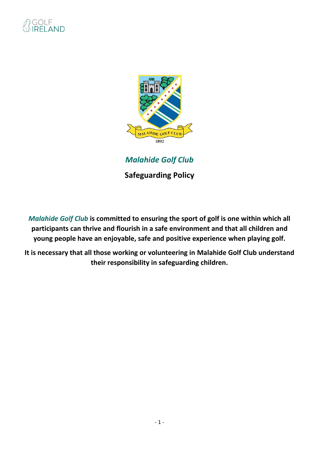

*Malahide Golf Club*

**Safeguarding Policy** 

*Malahide Golf Club* **is committed to ensuring the sport of golf is one within which all participants can thrive and flourish in a safe environment and that all children and young people have an enjoyable, safe and positive experience when playing golf.**

**It is necessary that all those working or volunteering in Malahide Golf Club understand their responsibility in safeguarding children.**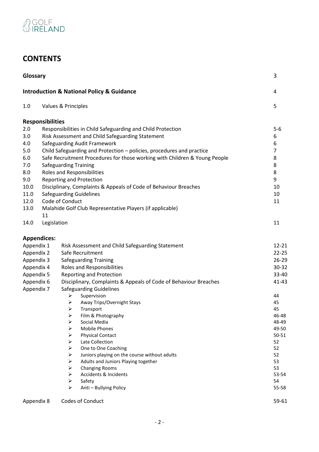

# **CONTENTS**

| Glossary   |                         |                                                                            | 3              |
|------------|-------------------------|----------------------------------------------------------------------------|----------------|
|            |                         | <b>Introduction &amp; National Policy &amp; Guidance</b>                   | 4              |
| 1.0        |                         | Values & Principles                                                        | 5              |
|            | <b>Responsibilities</b> |                                                                            |                |
| 2.0        |                         | Responsibilities in Child Safeguarding and Child Protection                | $5-6$          |
| 3.0        |                         | Risk Assessment and Child Safeguarding Statement                           | 6              |
| 4.0        |                         | Safeguarding Audit Framework                                               | 6              |
| 5.0        |                         | Child Safeguarding and Protection - policies, procedures and practice      | $\overline{7}$ |
| 6.0        |                         | Safe Recruitment Procedures for those working with Children & Young People | 8              |
| 7.0        |                         | <b>Safeguarding Training</b>                                               | 8              |
| 8.0        |                         | Roles and Responsibilities                                                 | 8              |
| 9.0        |                         | <b>Reporting and Protection</b>                                            | 9              |
| 10.0       |                         | Disciplinary, Complaints & Appeals of Code of Behaviour Breaches           | 10             |
| 11.0       |                         | <b>Safeguarding Guidelines</b>                                             | 10             |
| 12.0       |                         | Code of Conduct                                                            | 11             |
| 13.0       |                         | Malahide Golf Club Representative Players (if applicable)                  |                |
|            | 11                      |                                                                            |                |
| 14.0       | Legislation             |                                                                            | 11             |
|            | <b>Appendices:</b>      |                                                                            |                |
| Appendix 1 |                         | Risk Assessment and Child Safeguarding Statement                           | 12-21          |
| Appendix 2 |                         | Safe Recruitment                                                           | $22 - 25$      |
| Appendix 3 |                         | <b>Safeguarding Training</b>                                               | 26-29          |
| Appendix 4 |                         | Roles and Responsibilities                                                 | 30-32          |
| Appendix 5 |                         | Reporting and Protection                                                   | 33-40          |
| Appendix 6 |                         | Disciplinary, Complaints & Appeals of Code of Behaviour Breaches           | 41-43          |
| Appendix 7 |                         | <b>Safeguarding Guidelines</b>                                             |                |
|            |                         | Supervision<br>➤                                                           | 44             |
|            |                         | ➤<br>Away Trips/Overnight Stays                                            | 45             |
|            |                         | ➤<br>Transport                                                             | 45             |
|            |                         | Film & Photography<br>➤                                                    | 46-48          |
|            |                         | ➤<br>Social Media                                                          | 48-49          |
|            |                         | <b>Mobile Phones</b><br>⋗                                                  | 49-50          |
|            |                         | <b>Physical Contact</b><br>➤                                               | $50 - 51$      |
|            |                         | Late Collection<br>➤                                                       | 52             |
|            |                         | ➤<br>One to One Coaching                                                   | 52             |
|            |                         | Juniors playing on the course without adults<br>➤                          | 52             |
|            |                         | Adults and Juniors Playing together<br>➤                                   | 53             |
|            |                         | ➤<br><b>Changing Rooms</b>                                                 | 53             |
|            |                         | Accidents & Incidents<br>➤                                                 | 53-54          |
|            |                         | ➤<br>Safety                                                                | 54             |
|            |                         | Anti - Bullying Policy<br>⋗                                                | 55-58          |
| Appendix 8 |                         | Codes of Conduct                                                           | 59-61          |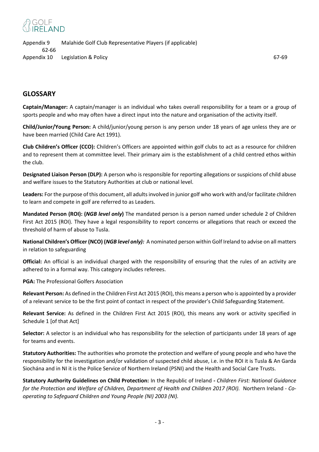Appendix 9 Malahide Golf Club Representative Players (if applicable) 62-66 Appendix 10 Legislation & Policy 67-69

# **GLOSSARY**

**Captain/Manager:** A captain/manager is an individual who takes overall responsibility for a team or a group of sports people and who may often have a direct input into the nature and organisation of the activity itself.

**Child/Junior/Young Person:** A child/junior/young person is any person under 18 years of age unless they are or have been married (Child Care Act 1991).

**Club Children's Officer (CCO):** Children's Officers are appointed within golf clubs to act as a resource for children and to represent them at committee level. Their primary aim is the establishment of a child centred ethos within the club.

**Designated Liaison Person (DLP):** A person who is responsible for reporting allegations or suspicions of child abuse and welfare issues to the Statutory Authorities at club or national level.

**Leaders:** For the purpose of this document, all adults involved in junior golf who work with and/or facilitate children to learn and compete in golf are referred to as Leaders.

**Mandated Person (ROI): (***NGB level only***)** The mandated person is a person named under schedule 2 of Children First Act 2015 (ROI). They have a legal responsibility to report concerns or allegations that reach or exceed the threshold of harm of abuse to Tusla.

**National Children's Officer (NCO) (***NGB level only):*A nominated person within Golf Ireland to advise on all matters in relation to safeguarding

**Official:** An official is an individual charged with the responsibility of ensuring that the rules of an activity are adhered to in a formal way. This category includes referees.

**PGA:** The Professional Golfers Association

**Relevant Person:** As defined in the Children First Act 2015 (ROI), this means a person who is appointed by a provider of a relevant service to be the first point of contact in respect of the provider's Child Safeguarding Statement.

**Relevant Service:** As defined in the Children First Act 2015 (ROI), this means any work or activity specified in Schedule 1 [of that Act]

**Selector:** A selector is an individual who has responsibility for the selection of participants under 18 years of age for teams and events.

**Statutory Authorities:** The authorities who promote the protection and welfare of young people and who have the responsibility for the investigation and/or validation of suspected child abuse, i.e. in the ROI it is Tusla & An Garda Siochána and in NI it is the Police Service of Northern Ireland (PSNI) and the Health and Social Care Trusts.

**Statutory Authority Guidelines on Child Protection:** In the Republic of Ireland *- Children First: National Guidance for the Protection and Welfare of Children, Department of Health and Children 2017 (ROI).* Northern Ireland - *Cooperating to Safeguard Children and Young People (NI) 2003 (NI).*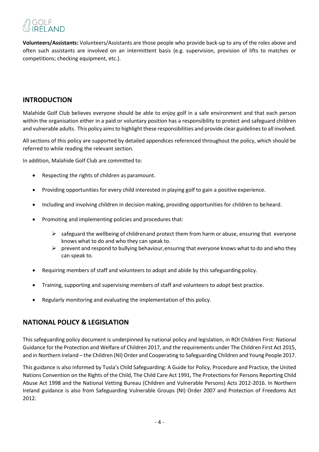**Volunteers/Assistants:** Volunteers/Assistants are those people who provide back-up to any of the roles above and often such assistants are involved on an intermittent basis (e.g. supervision, provision of lifts to matches or competitions; checking equipment, etc.).

# **INTRODUCTION**

Malahide Golf Club believes everyone should be able to enjoy golf in a safe environment and that each person within the organisation either in a paid or voluntary position has a responsibility to protect and safeguard children and vulnerable adults. This policy aims to highlight these responsibilities and provide clear guidelines to all involved.

All sections of this policy are supported by detailed appendices referenced throughout the policy, which should be referred to while reading the relevant section.

In addition, Malahide Golf Club are committed to:

- Respecting the rights of children as paramount.
- Providing opportunities for every child interested in playing golf to gain a positive experience.
- Including and involving children in decision making, providing opportunities for children to beheard.
- Promoting and implementing policies and procedures that:
	- $\triangleright$  safeguard the wellbeing of childrenand protect them from harm or abuse, ensuring that everyone knows what to do and who they can speak to.
	- $\triangleright$  prevent and respond to bullying behaviour, ensuring that everyone knows what to do and who they can speak to.
- Requiring members of staff and volunteers to adopt and abide by this safeguarding policy.
- Training, supporting and supervising members of staff and volunteers to adopt best practice.
- Regularly monitoring and evaluating the implementation of this policy.

# **NATIONAL POLICY & LEGISLATION**

This safeguarding policy document is underpinned by national policy and legislation, in ROI Children First: National Guidance for the Protection and Welfare of Children 2017, and the requirements under The Children First Act 2015, and in Northern Ireland – the Children (NI) Order and Cooperating to Safeguarding Children and Young People 2017.

This guidance is also informed by Tusla's Child Safeguarding: A Guide for Policy, Procedure and Practice, the United Nations Convention on the Rights of the Child, The Child Care Act 1991, The Protections for Persons Reporting Child Abuse Act 1998 and the National Vetting Bureau (Children and Vulnerable Persons) Acts 2012-2016. In Northern Ireland guidance is also from Safeguarding Vulnerable Groups (NI) Order 2007 and Protection of Freedoms Act 2012.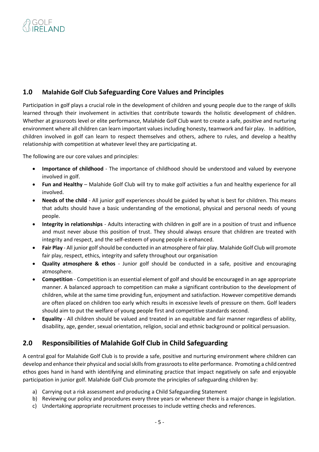# **1.0 Malahide Golf Club Safeguarding Core Values and Principles**

Participation in golf plays a crucial role in the development of children and young people due to the range of skills learned through their involvement in activities that contribute towards the holistic development of children. Whether at grassroots level or elite performance, Malahide Golf Club want to create a safe, positive and nurturing environment where all children can learn important values including honesty, teamwork and fair play. In addition, children involved in golf can learn to respect themselves and others, adhere to rules, and develop a healthy relationship with competition at whatever level they are participating at.

The following are our core values and principles:

- **Importance of childhood** The importance of childhood should be understood and valued by everyone involved in golf.
- **Fun and Healthy**  Malahide Golf Club will try to make golf activities a fun and healthy experience for all involved.
- **Needs of the child** All junior golf experiences should be guided by what is best for children. This means that adults should have a basic understanding of the emotional, physical and personal needs of young people.
- **Integrity in relationships** Adults interacting with children in golf are in a position of trust and influence and must never abuse this position of trust. They should always ensure that children are treated with integrity and respect, and the self-esteem of young people is enhanced.
- Fair Play All junior golf should be conducted in an atmosphere of fair play. Malahide Golf Club will promote fair play, respect, ethics, integrity and safety throughout our organisation
- **Quality atmosphere & ethos** Junior golf should be conducted in a safe, positive and encouraging atmosphere.
- **Competition** Competition is an essential element of golf and should be encouraged in an age appropriate manner. A balanced approach to competition can make a significant contribution to the development of children, while at the same time providing fun, enjoyment and satisfaction. However competitive demands are often placed on children too early which results in excessive levels of pressure on them. Golf leaders should aim to put the welfare of young people first and competitive standards second.
- **Equality** All children should be valued and treated in an equitable and fair manner regardless of ability, disability, age, gender, sexual orientation, religion, social and ethnic background or political persuasion.

# **2.0 Responsibilities of Malahide Golf Club in Child Safeguarding**

A central goal for Malahide Golf Club is to provide a safe, positive and nurturing environment where children can develop and enhance their physical and social skills from grassroots to elite performance. Promoting a child centred ethos goes hand in hand with identifying and eliminating practice that impact negatively on safe and enjoyable participation in junior golf. Malahide Golf Club promote the principles of safeguarding children by:

- a) Carrying out a risk assessment and producing a Child Safeguarding Statement
- b) Reviewing our policy and procedures every three years or whenever there is a major change in legislation.
- c) Undertaking appropriate recruitment processes to include vetting checks and references.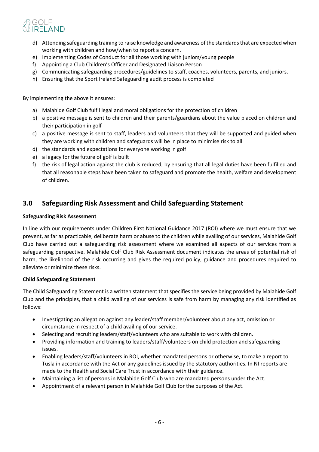- d) Attending safeguarding training to raise knowledge and awareness of the standards that are expected when working with children and how/when to report a concern.
- e) Implementing Codes of Conduct for all those working with juniors/young people
- f) Appointing a Club Children's Officer and Designated Liaison Person
- g) Communicating safeguarding procedures/guidelines to staff, coaches, volunteers, parents, and juniors.
- h) Ensuring that the Sport Ireland Safeguarding audit process is completed

By implementing the above it ensures:

- a) Malahide Golf Club fulfil legal and moral obligations for the protection of children
- b) a positive message is sent to children and their parents/guardians about the value placed on children and their participation in golf
- c) a positive message is sent to staff, leaders and volunteers that they will be supported and guided when they are working with children and safeguards will be in place to minimise risk to all
- d) the standards and expectations for everyone working in golf
- e) a legacy for the future of golf is built
- f) the risk of legal action against the club is reduced, by ensuring that all legal duties have been fulfilled and that all reasonable steps have been taken to safeguard and promote the health, welfare and development of children.

# **3.0 Safeguarding Risk Assessment and Child Safeguarding Statement**

### **Safeguarding Risk Assessment**

In line with our requirements under Children First National Guidance 2017 (ROI) where we must ensure that we prevent, as far as practicable, deliberate harm or abuse to the children while availing of our services, Malahide Golf Club have carried out a safeguarding risk assessment where we examined all aspects of our services from a safeguarding perspective. Malahide Golf Club Risk Assessment document indicates the areas of potential risk of harm, the likelihood of the risk occurring and gives the required policy, guidance and procedures required to alleviate or minimize these risks.

### **Child Safeguarding Statement**

The Child Safeguarding Statement is a written statement that specifies the service being provided by Malahide Golf Club and the principles, that a child availing of our services is safe from harm by managing any risk identified as follows:

- Investigating an allegation against any leader/staff member/volunteer about any act, omission or circumstance in respect of a child availing of our service.
- Selecting and recruiting leaders/staff/volunteers who are suitable to work with children.
- Providing information and training to leaders/staff/volunteers on child protection and safeguarding issues.
- Enabling leaders/staff/volunteers in ROI, whether mandated persons or otherwise, to make a report to Tusla in accordance with the Act or any guidelines issued by the statutory authorities. In NI reports are made to the Health and Social Care Trust in accordance with their guidance.
- Maintaining a list of persons in Malahide Golf Club who are mandated persons under the Act.
- Appointment of a relevant person in Malahide Golf Club for the purposes of the Act.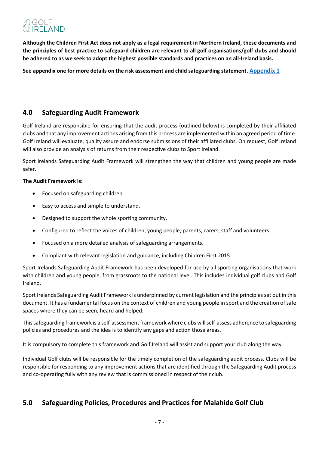**Although the Children First Act does not apply as a legal requirement in Northern Ireland, these documents and the principles of best practice to safeguard children are relevant to all golf organisations/golf clubs and should be adhered to as we seek to adopt the highest possible standards and practices on an all-Ireland basis.** 

<span id="page-6-0"></span>**See appendix one for more details on the risk assessment and child safeguarding statement. [Appendix 1](#page-11-0)**

# **4.0 Safeguarding Audit Framework**

Golf Ireland are responsible for ensuring that the audit process (outlined below) is completed by their affiliated clubs and that any improvement actions arising from this process are implemented within an agreed period of time. Golf Ireland will evaluate, quality assure and endorse submissions of their affiliated clubs. On request, Golf Ireland will also provide an analysis of returns from their respective clubs to Sport Ireland.

Sport Irelands Safeguarding Audit Framework will strengthen the way that children and young people are made safer.

## **The Audit Framework is:**

- Focused on safeguarding children.
- Easy to access and simple to understand.
- Designed to support the whole sporting community.
- Configured to reflect the voices of children, young people, parents, carers, staff and volunteers.
- Focused on a more detailed analysis of safeguarding arrangements.
- Compliant with relevant legislation and guidance, including Children First 2015.

Sport Irelands Safeguarding Audit Framework has been developed for use by all sporting organisations that work with children and young people, from grassroots to the national level. This includes individual golf clubs and Golf Ireland.

Sport Irelands Safeguarding Audit Framework is underpinned by current legislation and the principles set out in this document. It has a fundamental focus on the context of children and young people in sport and the creation of safe spaces where they can be seen, heard and helped.

This safeguarding framework is a self-assessment framework where clubs will self-assess adherence to safeguarding policies and procedures and the idea is to identify any gaps and action those areas.

It is compulsory to complete this framework and Golf Ireland will assist and support your club along the way.

Individual Golf clubs will be responsible for the timely completion of the safeguarding audit process. Clubs will be responsible for responding to any improvement actions that are identified through the Safeguarding Audit process and co-operating fully with any review that is commissioned in respect of their club.

# **5.0 Safeguarding Policies, Procedures and Practices for Malahide Golf Club**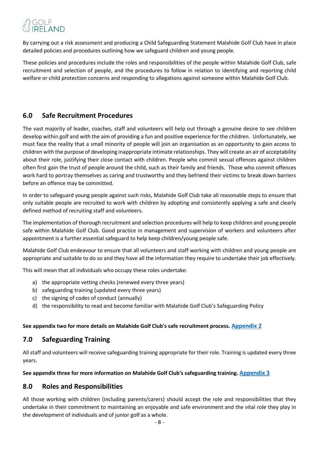By carrying out a risk assessment and producing a Child Safeguarding Statement Malahide Golf Club have in place detailed policies and procedures outlining how we safeguard children and young people.

These policies and procedures include the roles and responsibilities of the people within Malahide Golf Club, safe recruitment and selection of people, and the procedures to follow in relation to identifying and reporting child welfare or child protection concerns and responding to allegations against someone within Malahide Golf Club.

# **6.0 Safe Recruitment Procedures**

The vast majority of leader, coaches, staff and volunteers will help out through a genuine desire to see children develop within golf and with the aim of providing a fun and positive experience for the children. Unfortunately, we must face the reality that a small minority of people will join an organisation as an opportunity to gain access to children with the purpose of developing inappropriate intimate relationships. They will create an air of acceptability about their role, justifying their close contact with children. People who commit sexual offences against children often first gain the trust of people around the child, such as their family and friends. Those who commit offences work hard to portray themselves as caring and trustworthy and they befriend their victims to break down barriers before an offence may be committed.

In order to safeguard young people against such risks, Malahide Golf Club take all reasonable steps to ensure that only suitable people are recruited to work with children by adopting and consistently applying a safe and clearly defined method of recruiting staff and volunteers.

The implementation of thorough recruitment and selection procedures will help to keep children and young people safe within Malahide Golf Club. Good practice in management and supervision of workers and volunteers after appointment is a further essential safeguard to help keep children/young people safe.

Malahide Golf Club endeavour to ensure that all volunteers and staff working with children and young people are appropriate and suitable to do so and they have all the information they require to undertake their job effectively.

This will mean that all individuals who occupy these roles undertake:

- a) the appropriate vetting checks (renewed every three years)
- b) safeguarding training (updated every three years)
- c) the signing of codes of conduct (annually)
- d) the responsibility to read and become familiar with Malahide Golf Club's Safeguarding Policy

### <span id="page-7-1"></span><span id="page-7-0"></span>**See appendix two for more details on Malahide Golf Club's safe recruitment process. [Appendix 2](#page-21-0)**

# **7.0 Safeguarding Training**

All staff and volunteers will receive safeguarding training appropriate for their role. Training is updated every three years.

### **See appendix three for more information on Malahide Golf Club's safeguarding training. [Appendix 3](#page-25-0)**

# **8.0 Roles and Responsibilities**

All those working with children (including parents/carers) should accept the role and responsibilities that they undertake in their commitment to maintaining an enjoyable and safe environment and the vital role they play in the development of individuals and of junior golf as a whole.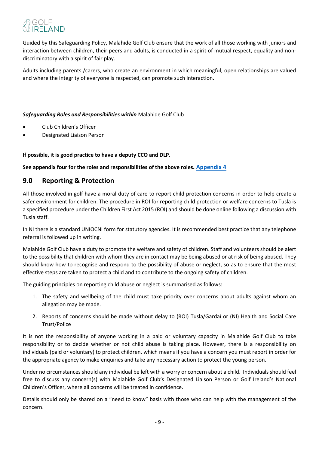Guided by this Safeguarding Policy, Malahide Golf Club ensure that the work of all those working with juniors and interaction between children, their peers and adults, is conducted in a spirit of mutual respect, equality and nondiscriminatory with a spirit of fair play.

Adults including parents /carers, who create an environment in which meaningful, open relationships are valued and where the integrity of everyone is respected, can promote such interaction.

### *Safeguarding Roles and Responsibilities within* Malahide Golf Club

- Club Children's Officer
- <span id="page-8-0"></span>• Designated Liaison Person

## **If possible, it is good practice to have a deputy CCO and DLP.**

### **See appendix four for the roles and responsibilities of the above roles. [Appendix 4](#page-28-0)**

# **9.0 Reporting & Protection**

All those involved in golf have a moral duty of care to report child protection concerns in order to help create a safer environment for children. The procedure in ROI for reporting child protection or welfare concerns to Tusla is a specified procedure under the Children First Act 2015 (ROI) and should be done online following a discussion with Tusla staff.

In NI there is a standard UNIOCNI form for statutory agencies. It is recommended best practice that any telephone referral is followed up in writing.

Malahide Golf Club have a duty to promote the welfare and safety of children. Staff and volunteers should be alert to the possibility that children with whom they are in contact may be being abused or at risk of being abused. They should know how to recognise and respond to the possibility of abuse or neglect, so as to ensure that the most effective steps are taken to protect a child and to contribute to the ongoing safety of children.

The guiding principles on reporting child abuse or neglect is summarised as follows:

- 1. The safety and wellbeing of the child must take priority over concerns about adults against whom an allegation may be made.
- 2. Reports of concerns should be made without delay to (ROI) Tusla/Gardaí or (NI) Health and Social Care Trust/Police

It is not the responsibility of anyone working in a paid or voluntary capacity in Malahide Golf Club to take responsibility or to decide whether or not child abuse is taking place. However, there is a responsibility on individuals (paid or voluntary) to protect children, which means if you have a concern you must report in order for the appropriate agency to make enquiries and take any necessary action to protect the young person.

Under no circumstances should any individual be left with a worry or concern about a child. Individuals should feel free to discuss any concern(s) with Malahide Golf Club's Designated Liaison Person or Golf Ireland's National Children's Officer, where all concerns will be treated in confidence.

Details should only be shared on a "need to know" basis with those who can help with the management of the concern.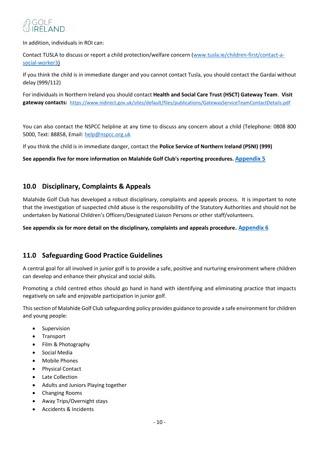

In addition, individuals in ROI can:

Contact TUSLA to discuss or report a child protection/welfare concern [\(www.tusla.ie/children-first/contact-a](http://www.tusla.ie/children-first/contact-a-social-worker3)[social-worker3\)](http://www.tusla.ie/children-first/contact-a-social-worker3)

If you think the child is in immediate danger and you cannot contact Tusla, you should contact the Gardaí without delay (999/112)

For individuals in Northern Ireland you should contact **Health and Social Care Trust (HSCT) Gateway Team**. **Visit gateway contacts:** <https://www.nidirect.gov.uk/sites/default/files/publications/GatewayServiceTeamContactDetails.pdf>

You can also contact the NSPCC helpline at any time to discuss any concern about a child (Telephone: 0808 800 5000, Text: 88858, Email: [help@nspcc.org.uk](mailto:help@nspcc.org.uk)

If you think the child is in immediate danger, contact the **Police Service of Northern Ireland (PSNI) (999)** 

<span id="page-9-0"></span>**See appendix five for more information on Malahide Golf Club's reporting procedures. [Appendix 5](#page-31-0)**

## **10.0 Disciplinary, Complaints & Appeals**

Malahide Golf Club has developed a robust disciplinary, complaints and appeals process. It is important to note that the investigation of suspected child abuse is the responsibility of the Statutory Authorities and should not be undertaken by National Children's Officers/Designated Liaison Persons or other staff/volunteers.

**See appendix six for more detail on the disciplinary, complaints and appeals procedure[. Appendix 6](#page-39-0)**

# **11.0 Safeguarding Good Practice Guidelines**

A central goal for all involved in junior golf is to provide a safe, positive and nurturing environment where children can develop and enhance their physical and social skills.

Promoting a child centred ethos should go hand in hand with identifying and eliminating practice that impacts negatively on safe and enjoyable participation in junior golf.

This section of Malahide Golf Club safeguarding policy provides guidance to provide a safe environment for children and young people:

- **Supervision**
- Transport
- Film & Photography
- Social Media
- Mobile Phones
- Physical Contact
- Late Collection
- Adults and Juniors Playing together
- Changing Rooms
- Away Trips/Overnight stays
- Accidents & Incidents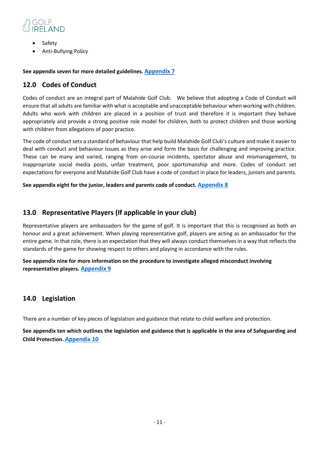

- Safety
- Anti-Bullying Policy

### **See appendix seven for more detailed guidelines. [Appendix 7](#page-42-0)**

# **12.0 Codes of Conduct**

Codes of conduct are an integral part of Malahide Golf Club. We believe that adopting a Code of Conduct will ensure that all adults are familiar with what is acceptable and unacceptable behaviour when working with children. Adults who work with children are placed in a position of trust and therefore it is important they behave appropriately and provide a strong positive role model for children, both to protect children and those working with children from allegations of poor practice.

The code of conduct sets a standard of behaviour that help build Malahide Golf Club's culture and make it easier to deal with conduct and behaviour issues as they arise and form the basis for challenging and improving practice. These can be many and varied, ranging from on-course incidents, spectator abuse and mismanagement, to inappropriate social media posts, unfair treatment, poor sportsmanship and more. Codes of conduct set expectations for everyone and Malahide Golf Club have a code of conduct in place for leaders, juniors and parents.

<span id="page-10-0"></span>**See appendix eight for the junior, leaders and parents code of conduct. [Appendix 8](#page-56-0)**

# **13.0 Representative Players (If applicable in your club)**

Representative players are ambassadors for the game of golf. It is important that this is recognised as both an honour and a great achievement. When playing representative golf, players are acting as an ambassador for the entire game. In that role, there is an expectation that they will always conduct themselves in a way that reflects the standards of the game for showing respect to others and playing in accordance with the rules.

**See appendix nine for more information on the procedure to investigate alleged misconduct involving representative players. [Appendix 9](#page-59-0)**

# **14.0 Legislation**

There are a number of key pieces of legislation and guidance that relate to child welfare and protection.

**See appendix ten which outlines the legislation and guidance that is applicable in the area of Safeguarding and Child Protection. [Appendix 10](#page-65-0)**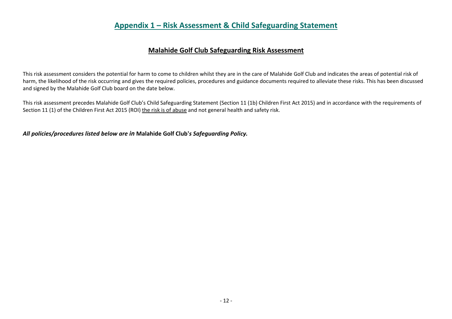# **Appendix 1 – Risk Assessment & Child Safeguarding Statement**

# **Malahide Golf Club Safeguarding Risk Assessment**

This risk assessment considers the potential for harm to come to children whilst they are in the care of Malahide Golf Club and indicates the areas of potential risk of harm, the likelihood of the risk occurring and gives the required policies, procedures and guidance documents required to alleviate these risks. This has been discussed and signed by the Malahide Golf Club board on the date below.

This risk assessment precedes Malahide Golf Club's Child Safeguarding Statement (Section 11 (1b) Children First Act 2015) and in accordance with the requirements of Section 11 (1) of the Children First Act 2015 (ROI) the risk is of abuse and not general health and safety risk.

<span id="page-11-0"></span>*All policies/procedures listed below are in* **Malahide Golf Club'***s Safeguarding Policy.*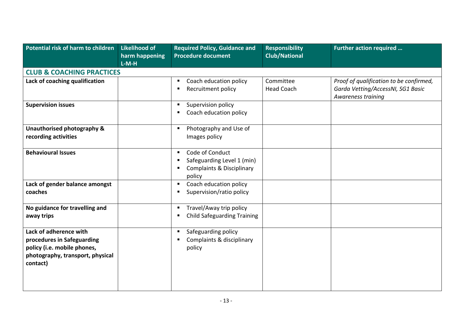| Potential risk of harm to children   | <b>Likelihood of</b><br>harm happening | <b>Required Policy, Guidance and</b><br><b>Procedure document</b> | <b>Responsibility</b><br><b>Club/National</b> | Further action required                                 |
|--------------------------------------|----------------------------------------|-------------------------------------------------------------------|-----------------------------------------------|---------------------------------------------------------|
|                                      | $L-M-H$                                |                                                                   |                                               |                                                         |
| <b>CLUB &amp; COACHING PRACTICES</b> |                                        |                                                                   |                                               |                                                         |
| Lack of coaching qualification       |                                        | Coach education policy                                            | Committee                                     | Proof of qualification to be confirmed,                 |
|                                      |                                        | Recruitment policy                                                | <b>Head Coach</b>                             | Garda Vetting/AccessNI, SG1 Basic<br>Awareness training |
| <b>Supervision issues</b>            |                                        | Supervision policy<br>п                                           |                                               |                                                         |
|                                      |                                        | Coach education policy                                            |                                               |                                                         |
| Unauthorised photography &           |                                        | Photography and Use of<br>п                                       |                                               |                                                         |
| recording activities                 |                                        | Images policy                                                     |                                               |                                                         |
| <b>Behavioural Issues</b>            |                                        | Code of Conduct<br>п                                              |                                               |                                                         |
|                                      |                                        | Safeguarding Level 1 (min)                                        |                                               |                                                         |
|                                      |                                        | <b>Complaints &amp; Disciplinary</b>                              |                                               |                                                         |
|                                      |                                        | policy                                                            |                                               |                                                         |
| Lack of gender balance amongst       |                                        | Coach education policy                                            |                                               |                                                         |
| coaches                              |                                        | Supervision/ratio policy                                          |                                               |                                                         |
| No guidance for travelling and       |                                        | Travel/Away trip policy<br>л                                      |                                               |                                                         |
| away trips                           |                                        | <b>Child Safeguarding Training</b>                                |                                               |                                                         |
| Lack of adherence with               |                                        | Safeguarding policy                                               |                                               |                                                         |
| procedures in Safeguarding           |                                        | Complaints & disciplinary                                         |                                               |                                                         |
| policy (i.e. mobile phones,          |                                        | policy                                                            |                                               |                                                         |
| photography, transport, physical     |                                        |                                                                   |                                               |                                                         |
| contact)                             |                                        |                                                                   |                                               |                                                         |
|                                      |                                        |                                                                   |                                               |                                                         |
|                                      |                                        |                                                                   |                                               |                                                         |
|                                      |                                        |                                                                   |                                               |                                                         |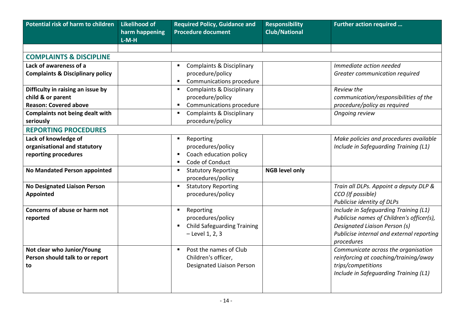| Potential risk of harm to children                                                     | <b>Likelihood of</b><br>harm happening<br>$L-M-H$ | <b>Required Policy, Guidance and</b><br><b>Procedure document</b>                         | <b>Responsibility</b><br><b>Club/National</b> | Further action required                                                                                                                                                        |
|----------------------------------------------------------------------------------------|---------------------------------------------------|-------------------------------------------------------------------------------------------|-----------------------------------------------|--------------------------------------------------------------------------------------------------------------------------------------------------------------------------------|
|                                                                                        |                                                   |                                                                                           |                                               |                                                                                                                                                                                |
| <b>COMPLAINTS &amp; DISCIPLINE</b>                                                     |                                                   |                                                                                           |                                               |                                                                                                                                                                                |
| Lack of awareness of a<br><b>Complaints &amp; Disciplinary policy</b>                  |                                                   | <b>Complaints &amp; Disciplinary</b><br>procedure/policy<br>Communications procedure      |                                               | Immediate action needed<br>Greater communication required                                                                                                                      |
| Difficulty in raising an issue by<br>child & or parent<br><b>Reason: Covered above</b> |                                                   | <b>Complaints &amp; Disciplinary</b><br>procedure/policy<br>Communications procedure      |                                               | Review the<br>communication/responsibilities of the<br>procedure/policy as required                                                                                            |
| <b>Complaints not being dealt with</b><br>seriously                                    |                                                   | <b>Complaints &amp; Disciplinary</b><br>в<br>procedure/policy                             |                                               | Ongoing review                                                                                                                                                                 |
| <b>REPORTING PROCEDURES</b>                                                            |                                                   |                                                                                           |                                               |                                                                                                                                                                                |
| Lack of knowledge of<br>organisational and statutory<br>reporting procedures           |                                                   | Reporting<br>procedures/policy<br>Coach education policy<br>Code of Conduct               |                                               | Make policies and procedures available<br>Include in Safeguarding Training (L1)                                                                                                |
| No Mandated Person appointed                                                           |                                                   | <b>Statutory Reporting</b><br>в<br>procedures/policy                                      | <b>NGB level only</b>                         |                                                                                                                                                                                |
| <b>No Designated Liaison Person</b><br><b>Appointed</b>                                |                                                   | <b>Statutory Reporting</b><br>procedures/policy                                           |                                               | Train all DLPs. Appoint a deputy DLP &<br>CCO (If possible)<br>Publicise identity of DLPs                                                                                      |
| Concerns of abuse or harm not<br>reported                                              |                                                   | Reporting<br>procedures/policy<br><b>Child Safeguarding Training</b><br>$-$ Level 1, 2, 3 |                                               | Include in Safeguarding Training (L1)<br>Publicise names of Children's officer(s),<br>Designated Liaison Person (s)<br>Publicise internal and external reporting<br>procedures |
| Not clear who Junior/Young<br>Person should talk to or report<br>to                    |                                                   | Post the names of Club<br>Children's officer,<br>Designated Liaison Person                |                                               | Communicate across the organisation<br>reinforcing at coaching/training/away<br>trips/competitions<br>Include in Safeguarding Training (L1)                                    |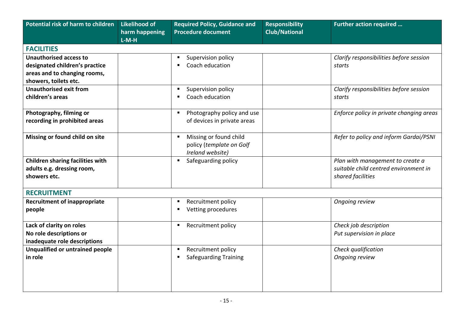| Potential risk of harm to children                                             | <b>Likelihood of</b>      | <b>Required Policy, Guidance and</b>                                   | <b>Responsibility</b> | <b>Further action required </b>                                                                |
|--------------------------------------------------------------------------------|---------------------------|------------------------------------------------------------------------|-----------------------|------------------------------------------------------------------------------------------------|
|                                                                                | harm happening<br>$L-M-H$ | <b>Procedure document</b>                                              | <b>Club/National</b>  |                                                                                                |
| <b>FACILITIES</b>                                                              |                           |                                                                        |                       |                                                                                                |
| <b>Unauthorised access to</b>                                                  |                           | Supervision policy                                                     |                       | Clarify responsibilities before session                                                        |
| designated children's practice                                                 |                           | Coach education<br>п                                                   |                       | starts                                                                                         |
| areas and to changing rooms,                                                   |                           |                                                                        |                       |                                                                                                |
| showers, toilets etc.                                                          |                           |                                                                        |                       |                                                                                                |
| <b>Unauthorised exit from</b>                                                  |                           | Supervision policy                                                     |                       | Clarify responsibilities before session                                                        |
| children's areas                                                               |                           | Coach education                                                        |                       | starts                                                                                         |
| Photography, filming or                                                        |                           | Photography policy and use<br>п                                        |                       | Enforce policy in private changing areas                                                       |
| recording in prohibited areas                                                  |                           | of devices in private areas                                            |                       |                                                                                                |
| Missing or found child on site                                                 |                           | Missing or found child<br>policy (template on Golf<br>Ireland website) |                       | Refer to policy and inform Gardai/PSNI                                                         |
| Children sharing facilities with<br>adults e.g. dressing room,<br>showers etc. |                           | Safeguarding policy                                                    |                       | Plan with management to create a<br>suitable child centred environment in<br>shared facilities |
| <b>RECRUITMENT</b>                                                             |                           |                                                                        |                       |                                                                                                |
| <b>Recruitment of inappropriate</b>                                            |                           | Recruitment policy                                                     |                       | Ongoing review                                                                                 |
| people                                                                         |                           | Vetting procedures                                                     |                       |                                                                                                |
| Lack of clarity on roles                                                       |                           | Recruitment policy<br>п                                                |                       | Check job description                                                                          |
| No role descriptions or                                                        |                           |                                                                        |                       | Put supervision in place                                                                       |
| inadequate role descriptions                                                   |                           |                                                                        |                       |                                                                                                |
| Unqualified or untrained people                                                |                           | Recruitment policy                                                     |                       | Check qualification                                                                            |
| in role                                                                        |                           | Safeguarding Training                                                  |                       | Ongoing review                                                                                 |
|                                                                                |                           |                                                                        |                       |                                                                                                |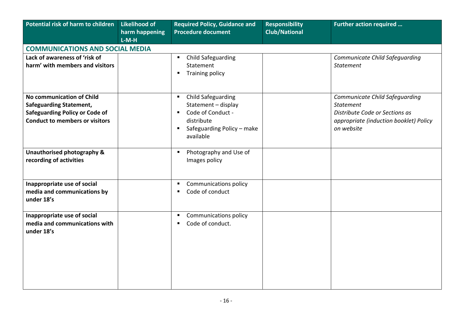| Potential risk of harm to children                                         | <b>Likelihood of</b> | <b>Required Policy, Guidance and</b>             | <b>Responsibility</b> | Further action required                |  |  |
|----------------------------------------------------------------------------|----------------------|--------------------------------------------------|-----------------------|----------------------------------------|--|--|
|                                                                            | harm happening       | <b>Procedure document</b>                        | <b>Club/National</b>  |                                        |  |  |
|                                                                            | $L-M-H$              |                                                  |                       |                                        |  |  |
| <b>COMMUNICATIONS AND SOCIAL MEDIA</b>                                     |                      |                                                  |                       |                                        |  |  |
| Lack of awareness of 'risk of                                              |                      | <b>Child Safeguarding</b>                        |                       | Communicate Child Safeguarding         |  |  |
| harm' with members and visitors                                            |                      | Statement                                        |                       | <b>Statement</b>                       |  |  |
|                                                                            |                      | <b>Training policy</b><br>л                      |                       |                                        |  |  |
|                                                                            |                      |                                                  |                       |                                        |  |  |
|                                                                            |                      |                                                  |                       |                                        |  |  |
| No communication of Child                                                  |                      | <b>Child Safeguarding</b><br>$\blacksquare$      |                       | Communicate Child Safeguarding         |  |  |
| <b>Safeguarding Statement,</b>                                             |                      | Statement - display                              |                       | <b>Statement</b>                       |  |  |
| <b>Safeguarding Policy or Code of</b>                                      |                      | Code of Conduct -<br>$\blacksquare$              |                       | Distribute Code or Sections as         |  |  |
| <b>Conduct to members or visitors</b>                                      |                      | distribute                                       |                       | appropriate (induction booklet) Policy |  |  |
|                                                                            |                      | Safeguarding Policy - make<br>Е                  |                       | on website                             |  |  |
|                                                                            |                      | available                                        |                       |                                        |  |  |
| Unauthorised photography &                                                 |                      | Photography and Use of<br>$\blacksquare$         |                       |                                        |  |  |
| recording of activities                                                    |                      | Images policy                                    |                       |                                        |  |  |
|                                                                            |                      |                                                  |                       |                                        |  |  |
|                                                                            |                      |                                                  |                       |                                        |  |  |
| Inappropriate use of social                                                |                      | <b>Communications policy</b><br>л                |                       |                                        |  |  |
| media and communications by                                                |                      | Code of conduct<br>л                             |                       |                                        |  |  |
| under 18's                                                                 |                      |                                                  |                       |                                        |  |  |
|                                                                            |                      |                                                  |                       |                                        |  |  |
|                                                                            |                      | п                                                |                       |                                        |  |  |
|                                                                            |                      | л                                                |                       |                                        |  |  |
|                                                                            |                      |                                                  |                       |                                        |  |  |
|                                                                            |                      |                                                  |                       |                                        |  |  |
|                                                                            |                      |                                                  |                       |                                        |  |  |
|                                                                            |                      |                                                  |                       |                                        |  |  |
|                                                                            |                      |                                                  |                       |                                        |  |  |
|                                                                            |                      |                                                  |                       |                                        |  |  |
|                                                                            |                      |                                                  |                       |                                        |  |  |
| Inappropriate use of social<br>media and communications with<br>under 18's |                      | <b>Communications policy</b><br>Code of conduct. |                       |                                        |  |  |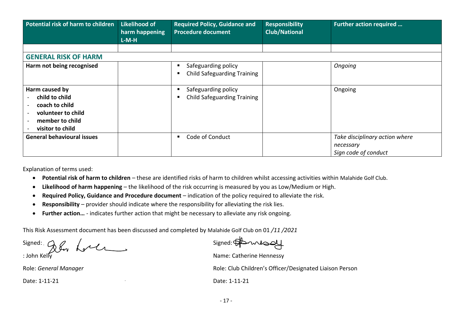| Potential risk of harm to children                                                                              | Likelihood of<br>harm happening<br>$L-M-H$ | <b>Required Policy, Guidance and</b><br><b>Procedure document</b> | <b>Responsibility</b><br><b>Club/National</b> | Further action required                                             |
|-----------------------------------------------------------------------------------------------------------------|--------------------------------------------|-------------------------------------------------------------------|-----------------------------------------------|---------------------------------------------------------------------|
|                                                                                                                 |                                            |                                                                   |                                               |                                                                     |
| <b>GENERAL RISK OF HARM</b>                                                                                     |                                            |                                                                   |                                               |                                                                     |
| Harm not being recognised                                                                                       |                                            | Safeguarding policy<br><b>Child Safeguarding Training</b>         |                                               | Ongoing                                                             |
| Harm caused by<br>child to child<br>coach to child<br>volunteer to child<br>member to child<br>visitor to child |                                            | Safeguarding policy<br><b>Child Safeguarding Training</b>         |                                               | Ongoing                                                             |
| <b>General behavioural issues</b>                                                                               |                                            | Code of Conduct                                                   |                                               | Take disciplinary action where<br>necessary<br>Sign code of conduct |

Explanation of terms used:

- **Potential risk of harm to children** these are identified risks of harm to children whilst accessing activities within Malahide Golf Club.
- **Likelihood of harm happening** the likelihood of the risk occurring is measured by you as Low/Medium or High.
- **Required Policy, Guidance and Procedure document**  indication of the policy required to alleviate the risk.
- **Responsibility** provider should indicate where the responsibility for alleviating the risk lies.
- **Further action…** indicates further action that might be necessary to alleviate any risk ongoing.

This Risk Assessment document has been discussed and completed by Malahide Golf Club on 01 */11 /2021*

Signed:  $\bigcirc$   $\bigcirc$   $\bigcirc$   $\bigcirc$   $\bigcirc$   $\bigcirc$   $\bigcirc$   $\bigcirc$  Signed:

: John Kelly Name: Catherine Hennessy: Name: Catherine Hennessy: Role: *General Manager* Role: Club Children's Officer/Designated Liaison Person

Date: 1-11-21 Date: 1-11-21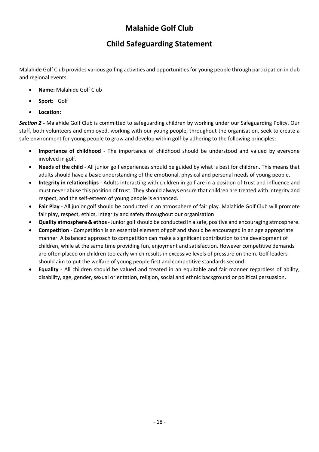# **Malahide Golf Club**

# **Child Safeguarding Statement**

Malahide Golf Club provides various golfing activities and opportunities for young people through participation in club and regional events.

- **Name:** Malahide Golf Club
- **Sport:** Golf
- **Location:**

*Section 2 -* Malahide Golf Club is committed to safeguarding children by working under our Safeguarding Policy. Our staff, both volunteers and employed, working with our young people, throughout the organisation, seek to create a safe environment for young people to grow and develop within golf by adhering to the following principles:

- **Importance of childhood** The importance of childhood should be understood and valued by everyone involved in golf.
- **Needs of the child** All junior golf experiences should be guided by what is best for children. This means that adults should have a basic understanding of the emotional, physical and personal needs of young people.
- **Integrity in relationships** Adults interacting with children in golf are in a position of trust and influence and must never abuse this position of trust. They should always ensure that children are treated with integrity and respect, and the self-esteem of young people is enhanced.
- **Fair Play** All junior golf should be conducted in an atmosphere of fair play. Malahide Golf Club will promote fair play, respect, ethics, integrity and safety throughout our organisation
- **Quality atmosphere & ethos** Junior golfshould be conducted in a safe, positive and encouraging atmosphere.
- **Competition** Competition is an essential element of golf and should be encouraged in an age appropriate manner. A balanced approach to competition can make a significant contribution to the development of children, while at the same time providing fun, enjoyment and satisfaction. However competitive demands are often placed on children too early which results in excessive levels of pressure on them. Golf leaders should aim to put the welfare of young people first and competitive standards second.
- **Equality** All children should be valued and treated in an equitable and fair manner regardless of ability, disability, age, gender, sexual orientation, religion, social and ethnic background or political persuasion.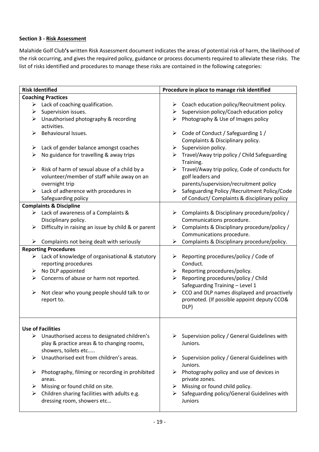## **Section 3 - Risk Assessment**

Malahide Golf Club**'s** written Risk Assessment document indicates the areas of potential risk of harm, the likelihood of the risk occurring, and gives the required policy, guidance or process documents required to alleviate these risks.The list of risks identified and procedures to manage these risks are contained in the following categories:

|   | <b>Risk Identified</b>                                        | Procedure in place to manage risk identified |                                                                |  |  |
|---|---------------------------------------------------------------|----------------------------------------------|----------------------------------------------------------------|--|--|
|   | <b>Coaching Practices</b>                                     |                                              |                                                                |  |  |
|   | $\triangleright$ Lack of coaching qualification.              |                                              | $\triangleright$ Coach education policy/Recruitment policy.    |  |  |
| ➤ | Supervision issues.                                           |                                              | $\triangleright$ Supervision policy/Coach education policy     |  |  |
| ➤ | Unauthorised photography & recording                          |                                              | $\triangleright$ Photography & Use of Images policy            |  |  |
|   | activities.                                                   |                                              |                                                                |  |  |
| ➤ | Behavioural Issues.                                           | $\blacktriangleright$                        | Code of Conduct / Safeguarding 1 /                             |  |  |
|   |                                                               |                                              | Complaints & Disciplinary policy.                              |  |  |
| ➤ | Lack of gender balance amongst coaches                        | ➤                                            | Supervision policy.                                            |  |  |
| ➤ | No guidance for travelling & away trips                       |                                              | Travel/Away trip policy / Child Safeguarding<br>Training.      |  |  |
| ➤ | Risk of harm of sexual abuse of a child by a                  |                                              | $\triangleright$ Travel/Away trip policy, Code of conducts for |  |  |
|   | volunteer/member of staff while away on an                    |                                              | golf leaders and                                               |  |  |
|   | overnight trip                                                |                                              | parents/supervision/recruitment policy                         |  |  |
| ≻ | Lack of adherence with procedures in                          | $\blacktriangleright$                        | Safeguarding Policy / Recruitment Policy/Code                  |  |  |
|   | Safeguarding policy                                           |                                              | of Conduct/ Complaints & disciplinary policy                   |  |  |
|   | <b>Complaints &amp; Discipline</b>                            |                                              |                                                                |  |  |
|   | Lack of awareness of a Complaints &                           |                                              | $\triangleright$ Complaints & Disciplinary procedure/policy /  |  |  |
|   | Disciplinary policy.                                          |                                              | Communications procedure.                                      |  |  |
| ≻ | Difficulty in raising an issue by child & or parent           |                                              | > Complaints & Disciplinary procedure/policy /                 |  |  |
|   |                                                               |                                              | Communications procedure.                                      |  |  |
| ➤ | Complaints not being dealt with seriously                     | ➤                                            | Complaints & Disciplinary procedure/policy.                    |  |  |
|   | <b>Reporting Procedures</b>                                   |                                              |                                                                |  |  |
| ➤ | Lack of knowledge of organisational & statutory               | ➤                                            | Reporting procedures/policy / Code of                          |  |  |
|   | reporting procedures                                          |                                              | Conduct.                                                       |  |  |
| ➤ | No DLP appointed                                              | ➤                                            | Reporting procedures/policy.                                   |  |  |
| ≻ | Concerns of abuse or harm not reported.                       | ➤                                            | Reporting procedures/policy / Child                            |  |  |
|   |                                                               |                                              | Safeguarding Training - Level 1                                |  |  |
| ➤ | Not clear who young people should talk to or                  |                                              | $\triangleright$ CCO and DLP names displayed and proactively   |  |  |
|   | report to.                                                    |                                              | promoted. (If possible appoint deputy CCO&<br>DLP)             |  |  |
|   |                                                               |                                              |                                                                |  |  |
|   |                                                               |                                              |                                                                |  |  |
|   | <b>Use of Facilities</b>                                      |                                              |                                                                |  |  |
|   | $\triangleright$ Unauthorised access to designated children's | ≻                                            | Supervision policy / General Guidelines with                   |  |  |
|   | play & practice areas & to changing rooms,                    |                                              | Juniors.                                                       |  |  |
|   | showers, toilets etc                                          |                                              |                                                                |  |  |
| ≻ | Unauthorised exit from children's areas.                      | ➤                                            | Supervision policy / General Guidelines with<br>Juniors.       |  |  |
| ➤ | Photography, filming or recording in prohibited               |                                              | $\triangleright$ Photography policy and use of devices in      |  |  |
|   | areas.                                                        |                                              | private zones.                                                 |  |  |
| ➤ | Missing or found child on site.                               | ➤                                            | Missing or found child policy.                                 |  |  |
| ➤ | Children sharing facilities with adults e.g.                  | ➤                                            | Safeguarding policy/General Guidelines with                    |  |  |
|   | dressing room, showers etc                                    |                                              | <b>Juniors</b>                                                 |  |  |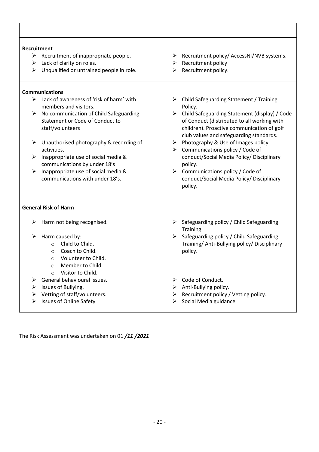| Recruitment<br>$\triangleright$ Recruitment of inappropriate people.<br>Lack of clarity on roles.<br>➤<br>Unqualified or untrained people in role.<br>≻                                                                                                                                                                                                                                                                                     | Recruitment policy/ AccessNI/NVB systems.<br>➤<br>Recruitment policy<br>➤<br>Recruitment policy.<br>➤                                                                                                                                                                                                                                                                                                                                                                                                                                            |
|---------------------------------------------------------------------------------------------------------------------------------------------------------------------------------------------------------------------------------------------------------------------------------------------------------------------------------------------------------------------------------------------------------------------------------------------|--------------------------------------------------------------------------------------------------------------------------------------------------------------------------------------------------------------------------------------------------------------------------------------------------------------------------------------------------------------------------------------------------------------------------------------------------------------------------------------------------------------------------------------------------|
| <b>Communications</b><br>$\triangleright$ Lack of awareness of 'risk of harm' with<br>members and visitors.<br>No communication of Child Safeguarding<br>➤<br>Statement or Code of Conduct to<br>staff/volunteers<br>Unauthorised photography & recording of<br>➤<br>activities.<br>Inappropriate use of social media &<br>➤<br>communications by under 18's<br>Inappropriate use of social media &<br>➤<br>communications with under 18's. | $\triangleright$ Child Safeguarding Statement / Training<br>Policy.<br>Child Safeguarding Statement (display) / Code<br>➤<br>of Conduct (distributed to all working with<br>children). Proactive communication of golf<br>club values and safeguarding standards.<br>$\triangleright$ Photography & Use of Images policy<br>$\triangleright$ Communications policy / Code of<br>conduct/Social Media Policy/ Disciplinary<br>policy.<br>$\triangleright$ Communications policy / Code of<br>conduct/Social Media Policy/ Disciplinary<br>policy. |
| <b>General Risk of Harm</b><br>Harm not being recognised.<br>➤                                                                                                                                                                                                                                                                                                                                                                              | ➤<br>Safeguarding policy / Child Safeguarding                                                                                                                                                                                                                                                                                                                                                                                                                                                                                                    |
| Harm caused by:<br>➤<br>Child to Child.<br>$\circ$<br>Coach to Child.<br>$\circ$<br>Volunteer to Child.<br>$\circ$<br>Member to Child.<br>$\circ$<br>Visitor to Child.<br>$\circ$                                                                                                                                                                                                                                                           | Training.<br>$\blacktriangleright$<br>Safeguarding policy / Child Safeguarding<br>Training/Anti-Bullying policy/Disciplinary<br>policy.                                                                                                                                                                                                                                                                                                                                                                                                          |
| General behavioural issues.<br>Issues of Bullying.<br>➤<br>Vetting of staff/volunteers.<br>⋗<br><b>Issues of Online Safety</b>                                                                                                                                                                                                                                                                                                              | Code of Conduct.<br>➤<br>Anti-Bullying policy.<br>➤<br>Recruitment policy / Vetting policy.<br>➤<br>Social Media guidance<br>➤                                                                                                                                                                                                                                                                                                                                                                                                                   |

The Risk Assessment was undertaken on 01 */11 /2021*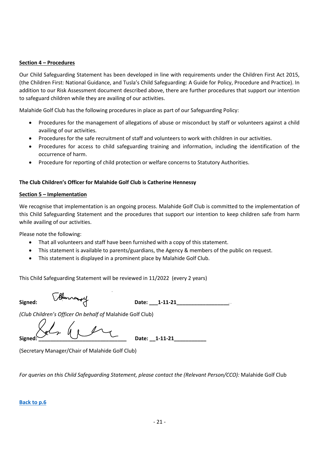#### **Section 4 – Procedures**

Our Child Safeguarding Statement has been developed in line with requirements under the Children First Act 2015, (the Children First: National Guidance, and Tusla's Child Safeguarding: A Guide for Policy, Procedure and Practice). In addition to our Risk Assessment document described above, there are further procedures that support our intention to safeguard children while they are availing of our activities.

Malahide Golf Club has the following procedures in place as part of our Safeguarding Policy:

- Procedures for the management of allegations of abuse or misconduct by staff or volunteers against a child availing of our activities.
- Procedures for the safe recruitment of staff and volunteers to work with children in our activities.
- Procedures for access to child safeguarding training and information, including the identification of the occurrence of harm.
- Procedure for reporting of child protection or welfare concerns to Statutory Authorities.

### **The Club Children's Officer for Malahide Golf Club is Catherine Hennessy**

#### **Section 5 – Implementation**

We recognise that implementation is an ongoing process. Malahide Golf Club is committed to the implementation of this Child Safeguarding Statement and the procedures that support our intention to keep children safe from harm while availing of our activities.

Please note the following:

- That all volunteers and staff have been furnished with a copy of this statement.
- This statement is available to parents/guardians, the Agency & members of the public on request.
- This statement is displayed in a prominent place by Malahide Golf Club.

This Child Safeguarding Statement will be reviewed in 11/2022 (every 2 years)

**Signed: Date: \_\_\_1-11-21\_\_\_\_\_\_\_\_\_\_\_\_\_\_\_\_\_\_**

*(Club Children's Officer On behalf of* Malahide Golf Club)

 $Signed: 21$ 

(Secretary Manager/Chair of Malahide Golf Club)

*For queries on this Child Safeguarding Statement, please contact the (Relevant Person/CCO):* Malahide Golf Club

#### **[Back to p.6](#page-6-0)**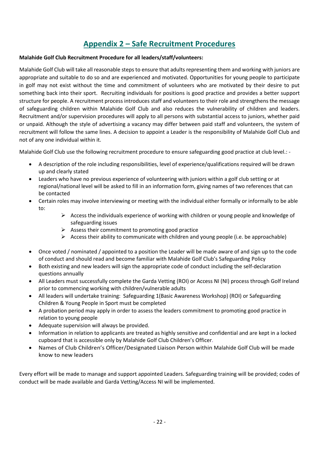# **Appendix 2 – Safe Recruitment Procedures**

### <span id="page-21-0"></span>**Malahide Golf Club Recruitment Procedure for all leaders/staff/volunteers:**

Malahide Golf Club will take all reasonable steps to ensure that adults representing them and working with juniors are appropriate and suitable to do so and are experienced and motivated. Opportunities for young people to participate in golf may not exist without the time and commitment of volunteers who are motivated by their desire to put something back into their sport. Recruiting individuals for positions is good practice and provides a better support structure for people. A recruitment process introduces staff and volunteers to their role and strengthens the message of safeguarding children within Malahide Golf Club and also reduces the vulnerability of children and leaders. Recruitment and/or supervision procedures will apply to all persons with substantial access to juniors, whether paid or unpaid. Although the style of advertising a vacancy may differ between paid staff and volunteers, the system of recruitment will follow the same lines. A decision to appoint a Leader is the responsibility of Malahide Golf Club and not of any one individual within it.

Malahide Golf Club use the following recruitment procedure to ensure safeguarding good practice at club level.: -

- A description of the role including responsibilities, level of experience/qualifications required will be drawn up and clearly stated
- Leaders who have no previous experience of volunteering with juniors within a golf club setting or at regional/national level will be asked to fill in an information form, giving names of two references that can be contacted
- Certain roles may involve interviewing or meeting with the individual either formally or informally to be able to:
	- $\triangleright$  Access the individuals experience of working with children or young people and knowledge of safeguarding issues
	- $\triangleright$  Assess their commitment to promoting good practice
	- $\triangleright$  Access their ability to communicate with children and young people (i.e. be approachable)
- Once voted / nominated / appointed to a position the Leader will be made aware of and sign up to the code of conduct and should read and become familiar with Malahide Golf Club's Safeguarding Policy
- Both existing and new leaders will sign the appropriate code of conduct including the self-declaration questions annually
- All Leaders must successfully complete the Garda Vetting (ROI) or Access NI (NI) process through Golf Ireland prior to commencing working with children/vulnerable adults
- All leaders will undertake training: Safeguarding 1(Basic Awareness Workshop) (ROI) or Safeguarding Children & Young People in Sport must be completed
- A probation period may apply in order to assess the leaders commitment to promoting good practice in relation to young people
- Adequate supervision will always be provided.
- Information in relation to applicants are treated as highly sensitive and confidential and are kept in a locked cupboard that is accessible only by Malahide Golf Club Children's Officer.
- Names of Club Children's Officer/Designated Liaison Person within Malahide Golf Club will be made know to new leaders

Every effort will be made to manage and support appointed Leaders. Safeguarding training will be provided; codes of conduct will be made available and Garda Vetting/Access NI will be implemented.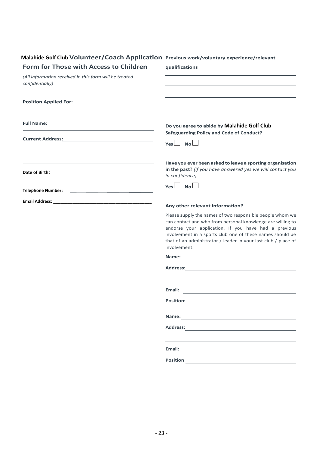| Form for Those with Access to Children                                                                         | qualifications                                                                                                                                                                                                                                                                                                                 |
|----------------------------------------------------------------------------------------------------------------|--------------------------------------------------------------------------------------------------------------------------------------------------------------------------------------------------------------------------------------------------------------------------------------------------------------------------------|
| (All information received in this form will be treated<br>confidentially)                                      | the control of the control of the control of the control of the control of the control of                                                                                                                                                                                                                                      |
| <b>Position Applied For:</b>                                                                                   |                                                                                                                                                                                                                                                                                                                                |
| <b>Full Name:</b><br>the control of the control of the control of the control of the control of the control of | Do you agree to abide by Malahide Golf Club<br><b>Safeguarding Policy and Code of Conduct?</b><br>$Yes \Box No \Box$                                                                                                                                                                                                           |
| Date of Birth:                                                                                                 | Have you ever been asked to leave a sporting organisation<br>in the past? (if you have answered yes we will contact you<br>in confidence)                                                                                                                                                                                      |
| Telephone Number: <u>________________________________</u>                                                      | $Yes \Box No \Box$                                                                                                                                                                                                                                                                                                             |
|                                                                                                                | Any other relevant information?                                                                                                                                                                                                                                                                                                |
|                                                                                                                | Please supply the names of two responsible people whom we<br>can contact and who from personal knowledge are willing to<br>endorse your application. If you have had a previous<br>involvement in a sports club one of these names should be<br>that of an administrator / leader in your last club / place of<br>involvement. |
|                                                                                                                |                                                                                                                                                                                                                                                                                                                                |
|                                                                                                                |                                                                                                                                                                                                                                                                                                                                |
|                                                                                                                | Email:                                                                                                                                                                                                                                                                                                                         |
|                                                                                                                | <b>Position:</b>                                                                                                                                                                                                                                                                                                               |
|                                                                                                                |                                                                                                                                                                                                                                                                                                                                |
|                                                                                                                | <b>Address:</b>                                                                                                                                                                                                                                                                                                                |
|                                                                                                                |                                                                                                                                                                                                                                                                                                                                |
|                                                                                                                | Position                                                                                                                                                                                                                                                                                                                       |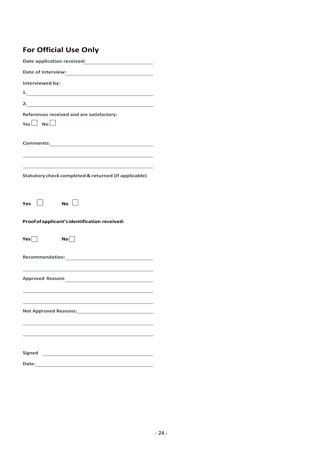# **For Official Use Only**

| Date application received:                                                        |  |  |  |  |
|-----------------------------------------------------------------------------------|--|--|--|--|
| Date of Interview:<br><u> </u>                                                    |  |  |  |  |
| Interviewed by:                                                                   |  |  |  |  |
|                                                                                   |  |  |  |  |
|                                                                                   |  |  |  |  |
| References received and are satisfactory:<br>$Yes \Box No \Box$                   |  |  |  |  |
|                                                                                   |  |  |  |  |
| Statutory check completed & returned (if applicable)                              |  |  |  |  |
| No $\Box$<br>Yes $ \; $                                                           |  |  |  |  |
| Proof of applicant's identification received:                                     |  |  |  |  |
| Yes<br>No                                                                         |  |  |  |  |
|                                                                                   |  |  |  |  |
| Approved Reasons                                                                  |  |  |  |  |
| Not Approved Reasons: Not Approved Reasons:                                       |  |  |  |  |
|                                                                                   |  |  |  |  |
| <b>Signed</b><br><u> 1989 - Johann Stein, mars an t-Amerikaansk kommunister (</u> |  |  |  |  |
| <b>Date:</b><br><u> 1980 - Johann Barbara, martxa alemaniar a</u>                 |  |  |  |  |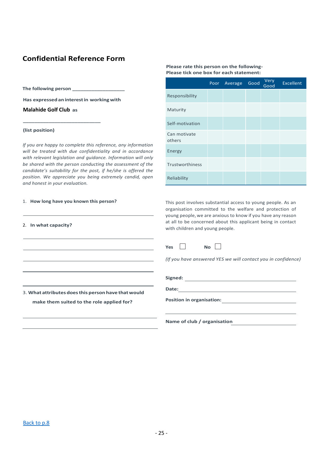# **Confidential Reference Form**

**The following person \_\_\_\_\_\_\_\_\_\_\_\_\_\_\_\_\_\_\_**

**Has expressed aninterestin workingwith** 

**\_\_\_\_\_\_\_\_\_\_\_\_\_\_\_\_\_\_\_\_\_\_\_\_\_\_\_** 

**Malahide Golf Club as** 

#### **(list position)**

*If you are happy to complete this reference, any information will be treated with due confidentiality and in accordance with relevant legislation and guidance. Information will only be shared with the person conducting the assessment of the candidate's suitability for the post, if he/she is offered the position. We appreciate you being extremely candid, open and honest in your evaluation.*

3. **What attributes doesthis person have thatwould make them suited to the role applied for?**

#### 1. **How long have you known this person?**

#### 2. **In what capacity?**

#### **Please rate this person on the following- Please tick one box for each statement:**

|                        | Poor | Average | Good | Very<br>Good | <b>Excellent</b> |
|------------------------|------|---------|------|--------------|------------------|
| Responsibility         |      |         |      |              |                  |
| Maturity               |      |         |      |              |                  |
| Self-motivation        |      |         |      |              |                  |
| Can motivate<br>others |      |         |      |              |                  |
| Energy                 |      |         |      |              |                  |
| Trustworthiness        |      |         |      |              |                  |
| Reliability            |      |         |      |              |                  |

This post involves substantial access to young people. As an organisation committed to the welfare and protection of young people, we are anxious to know if you have any reason at all to be concerned about this applicant being in contact with children and young people.

| <b>Yes</b> | Nο |  |
|------------|----|--|
|            |    |  |

*(If you have answered YES we will contact you in confidence)*

**Signed:**

**Date:**

**Position in organisation:**

**Name of club / organisation**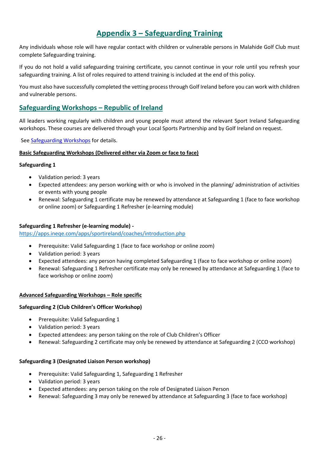# **Appendix 3 – Safeguarding Training**

<span id="page-25-0"></span>Any individuals whose role will have regular contact with children or vulnerable persons in Malahide Golf Club must complete Safeguarding training.

If you do not hold a valid safeguarding training certificate, you cannot continue in your role until you refresh your safeguarding training. A list of roles required to attend training is included at the end of this policy.

You must also have successfully completed the vetting process through Golf Ireland before you can work with children and vulnerable persons.

# **Safeguarding Workshops – Republic of Ireland**

All leaders working regularly with children and young people must attend the relevant Sport Ireland Safeguarding workshops. These courses are delivered through your Local Sports Partnership and by Golf Ireland on request.

See [Safeguarding Workshops](https://www.golfireland.ie/safeguarding-training) for details.

#### **Basic Safeguarding Workshops (Delivered either via Zoom or face to face)**

#### **Safeguarding 1**

- Validation period: 3 years
- Expected attendees: any person working with or who is involved in the planning/ administration of activities or events with young people
- Renewal: Safeguarding 1 certificate may be renewed by attendance at Safeguarding 1 (face to face workshop or online zoom) or Safeguarding 1 Refresher (e-learning module)

#### **Safeguarding 1 Refresher (e-learning module) -**

<https://apps.ineqe.com/apps/sportireland/coaches/introduction.php>

- Prerequisite: Valid Safeguarding 1 (face to face workshop or online zoom)
- Validation period: 3 years
- Expected attendees: any person having completed Safeguarding 1 (face to face workshop or online zoom)
- Renewal: Safeguarding 1 Refresher certificate may only be renewed by attendance at Safeguarding 1 (face to face workshop or online zoom)

#### **Advanced Safeguarding Workshops – Role specific**

#### **Safeguarding 2 (Club Children's Officer Workshop)**

- Prerequisite: Valid Safeguarding 1
- Validation period: 3 years
- Expected attendees: any person taking on the role of Club Children's Officer
- Renewal: Safeguarding 2 certificate may only be renewed by attendance at Safeguarding 2 (CCO workshop)

#### **Safeguarding 3 (Designated Liaison Person workshop)**

- Prerequisite: Valid Safeguarding 1, Safeguarding 1 Refresher
- Validation period: 3 years
- Expected attendees: any person taking on the role of Designated Liaison Person
- Renewal: Safeguarding 3 may only be renewed by attendance at Safeguarding 3 (face to face workshop)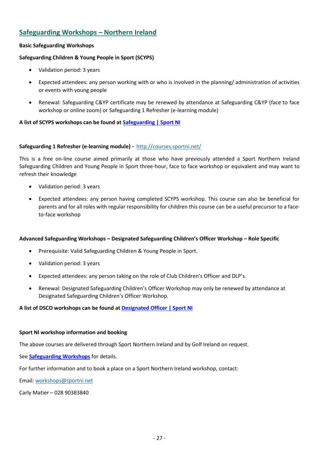# **Safeguarding Workshops – Northern Ireland**

## **Basic Safeguarding Workshops**

#### **Safeguarding Children & Young People in Sport (SCYPS)**

- Validation period: 3 years
- Expected attendees: any person working with or who is involved in the planning/ administration of activities or events with young people
- Renewal: Safeguarding C&YP certificate may be renewed by attendance at Safeguarding C&YP (face to face workshop or online zoom) or Safeguarding 1 Refresher (e-learning module)

### **A list of SCYPS workshops can be found at [Safeguarding | Sport NI](http://www.sportni.net/clubs-coaching/safeguarding/)**

#### **Safeguarding 1 Refresher (e-learning module) -** <http://courses.sportni.net/>

This is a free on-line course aimed primarily at those who have previously attended a Sport Northern Ireland Safeguarding Children and Young People in Sport three-hour, face to face workshop or equivalent and may want to refresh their knowledge

- Validation period: 3 years
- Expected attendees: any person having completed SCYPS workshop. This course can also be beneficial for parents and for all roles with regular responsibility for children this course can be a useful precursor to a faceto-face workshop

#### **Advanced Safeguarding Workshops – Designated Safeguarding Children's Officer Workshop – Role Specific**

- Prerequisite: Valid Safeguarding Children & Young People in Sport.
- Validation period: 3 years
- Expected attendees: any person taking on the role of Club Children's Officer and DLP's.
- Renewal: Designated Safeguarding Children's Officer Workshop may only be renewed by attendance at Designated Safeguarding Children's Officer Workshop.

#### **A list of DSCO workshops can be found at [Designated Officer | Sport NI](http://www.sportni.net/clubs-coaching/safeguarding/designated-officer/)**

#### **Sport NI workshop information and booking**

The above courses are delivered through Sport Northern Ireland and by Golf Ireland on request.

See **[Safeguarding Workshops](https://www.golfireland.ie/safeguarding-training)** for details.

For further information and to book a place on a Sport Northern Ireland workshop, contact:

Email: [workshops@sportni.net](mailto:workshops@sportni.net)

Carly Matier – 028 90383840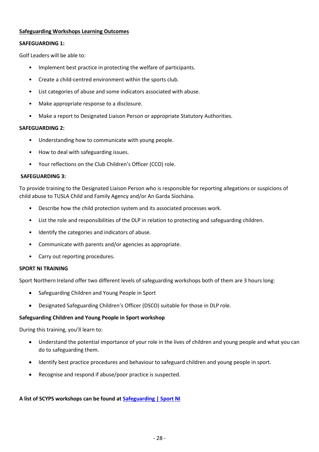#### **Safeguarding Workshops Learning Outcomes**

#### **SAFEGUARDING 1:**

Golf Leaders will be able to:

- Implement best practice in protecting the welfare of participants.
- Create a child-centred environment within the sports club.
- List categories of abuse and some indicators associated with abuse.
- Make appropriate response to a disclosure.
- Make a report to Designated Liaison Person or appropriate Statutory Authorities.

### **SAFEGUARDING 2:**

- Understanding how to communicate with young people.
- How to deal with safeguarding issues.
- Your reflections on the Club Children's Officer (CCO) role.

#### **SAFEGUARDING 3:**

To provide training to the Designated Liaison Person who is responsible for reporting allegations or suspicions of child abuse to TUSLA Child and Family Agency and/or An Garda Síochána.

- Describe how the child protection system and its associated processes work.
- List the role and responsibilities of the DLP in relation to protecting and safeguarding children.
- Identify the categories and indicators of abuse.
- Communicate with parents and/or agencies as appropriate.
- Carry out reporting procedures.

### **SPORT NI TRAINING**

Sport Northern Ireland offer two different levels of safeguarding workshops both of them are 3 hours long:

- Safeguarding Children and Young People in Sport
- Designated Safeguarding Children's Officer (DSCO) suitable for those in DLP role.

### **Safeguarding Children and Young People in Sport workshop**

During this training, you'll learn to:

- Understand the potential importance of your role in the lives of children and young people and what you can do to safeguarding them.
- Identify best practice procedures and behaviour to safeguard children and young people in sport.
- Recognise and respond if abuse/poor practice is suspected.

### **A list of SCYPS workshops can be found at [Safeguarding | Sport NI](http://www.sportni.net/clubs-coaching/safeguarding/)**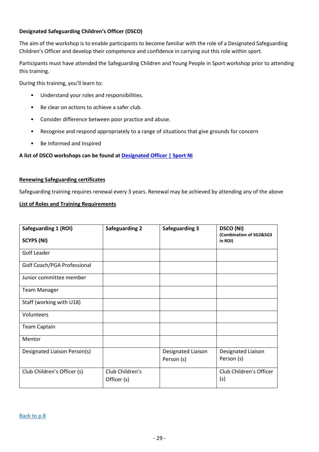### **Designated Safeguarding Children's Officer (DSCO)**

The aim of the workshop is to enable participants to become familiar with the role of a Designated Safeguarding Children's Officer and develop their competence and confidence in carrying out this role within sport.

Participants must have attended the Safeguarding Children and Young People in Sport workshop prior to attending this training.

During this training, you'll learn to:

- Understand your roles and responsibilities.
- Be clear on actions to achieve a safer club.
- Consider difference between poor practice and abuse.
- Recognise and respond appropriately to a range of situations that give grounds for concern
- Be Informed and Inspired

#### **A list of DSCO workshops can be found at [Designated Officer | Sport NI](http://www.sportni.net/clubs-coaching/safeguarding/designated-officer/)**

#### **Renewing Safeguarding certificates**

Safeguarding training requires renewal every 3 years. Renewal may be achieved by attending any of the above

#### **List of Roles and Training Requirements**

<span id="page-28-0"></span>

| Safeguarding 1 (ROI)         | <b>Safeguarding 2</b>          | <b>Safeguarding 3</b>            | <b>DSCO (NI)</b><br>(Combination of SG2&SG3 |
|------------------------------|--------------------------------|----------------------------------|---------------------------------------------|
| <b>SCYPS (NI)</b>            |                                |                                  | in ROI)                                     |
| Golf Leader                  |                                |                                  |                                             |
| Golf Coach/PGA Professional  |                                |                                  |                                             |
| Junior committee member      |                                |                                  |                                             |
| <b>Team Manager</b>          |                                |                                  |                                             |
| Staff (working with U18)     |                                |                                  |                                             |
| Volunteers                   |                                |                                  |                                             |
| <b>Team Captain</b>          |                                |                                  |                                             |
| Mentor                       |                                |                                  |                                             |
| Designated Liaison Person(s) |                                | Designated Liaison<br>Person (s) | Designated Liaison<br>Person (s)            |
| Club Children's Officer (s)  | Club Children's<br>Officer (s) |                                  | Club Children's Officer<br>(s)              |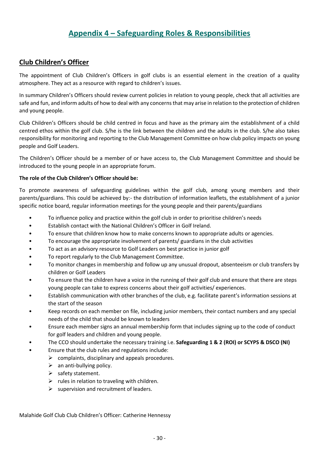# **Appendix 4 – Safeguarding Roles & Responsibilities**

# **Club Children's Officer**

The appointment of Club Children's Officers in golf clubs is an essential element in the creation of a quality atmosphere. They act as a resource with regard to children's issues.

In summary Children's Officers should review current policies in relation to young people, check that all activities are safe and fun, and inform adults of how to deal with any concerns that may arise in relation to the protection of children and young people.

Club Children's Officers should be child centred in focus and have as the primary aim the establishment of a child centred ethos within the golf club. S/he is the link between the children and the adults in the club. S/he also takes responsibility for monitoring and reporting to the Club Management Committee on how club policy impacts on young people and Golf Leaders.

The Children's Officer should be a member of or have access to, the Club Management Committee and should be introduced to the young people in an appropriate forum.

#### **The role of the Club Children's Officer should be:**

To promote awareness of safeguarding guidelines within the golf club, among young members and their parents/guardians. This could be achieved by:- the distribution of information leaflets, the establishment of a junior specific notice board, regular information meetings for the young people and their parents/guardians

- To influence policy and practice within the golf club in order to prioritise children's needs
- Establish contact with the National Children's Officer in Golf Ireland.
- To ensure that children know how to make concerns known to appropriate adults or agencies.
- To encourage the appropriate involvement of parents/ guardians in the club activities
- To act as an advisory resource to Golf Leaders on best practice in junior golf
- To report regularly to the Club Management Committee.
- To monitor changes in membership and follow up any unusual dropout, absenteeism or club transfers by children or Golf Leaders
- To ensure that the children have a voice in the running of their golf club and ensure that there are steps young people can take to express concerns about their golf activities/ experiences.
- Establish communication with other branches of the club, e.g. facilitate parent's information sessions at the start of the season
- Keep records on each member on file, including junior members, their contact numbers and any special needs of the child that should be known to leaders
- Ensure each member signs an annual membership form that includes signing up to the code of conduct for golf leaders and children and young people.
- The CCO should undertake the necessary training i.e. **Safeguarding 1 & 2 (ROI) or SCYPS & DSCO (NI)**
- Ensure that the club rules and regulations include:
	- $\triangleright$  complaints, disciplinary and appeals procedures.
	- $\triangleright$  an anti-bullying policy.
	- $\triangleright$  safety statement.
	- $\triangleright$  rules in relation to traveling with children.
	- $\triangleright$  supervision and recruitment of leaders.

Malahide Golf Club Club Children's Officer: Catherine Hennessy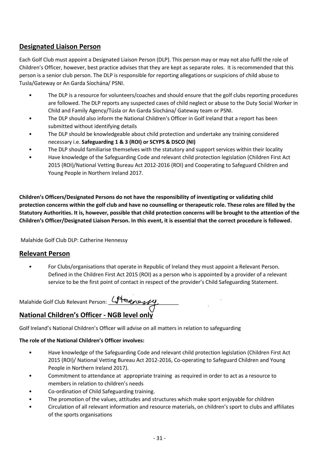# **Designated Liaison Person**

Each Golf Club must appoint a Designated Liaison Person (DLP). This person may or may not also fulfil the role of Children's Officer, however, best practice advises that they are kept as separate roles. It is recommended that this person is a senior club person. The DLP is responsible for reporting allegations or suspicions of child abuse to Tusla/Gateway or An Garda Síochána/ PSNI.

- The DLP is a resource for volunteers/coaches and should ensure that the golf clubs reporting procedures are followed. The DLP reports any suspected cases of child neglect or abuse to the Duty Social Worker in Child and Family Agency/Túsla or An Garda Síochána/ Gateway team or PSNI.
- The DLP should also inform the National Children's Officer in Golf Ireland that a report has been submitted without identifying details
- The DLP should be knowledgeable about child protection and undertake any training considered necessary i.e. **Safeguarding 1 & 3 (ROI) or SCYPS & DSCO (NI)**
- The DLP should familiarise themselves with the statutory and support services within their locality
- Have knowledge of the Safeguarding Code and relevant child protection legislation (Children First Act 2015 (ROI)/National Vetting Bureau Act 2012-2016 (ROI) and Cooperating to Safeguard Children and Young People in Northern Ireland 2017.

**Children's Officers/Designated Persons do not have the responsibility of investigating or validating child protection concerns within the golf club and have no counselling or therapeutic role. These roles are filled by the Statutory Authorities. It is, however, possible that child protection concerns will be brought to the attention of the Children's Officer/Designated Liaison Person. In this event, it is essential that the correct procedure is followed.**

Malahide Golf Club DLP: Catherine Hennessy

# **Relevant Person**

• For Clubs/organisations that operate in Republic of Ireland they must appoint a Relevant Person. Defined in the Children First Act 2015 (ROI) as a person who is appointed by a provider of a relevant service to be the first point of contact in respect of the provider's Child Safeguarding Statement.

Malahide Golf Club Relevant Person: 4 Assessed

# **National Children's Officer - NGB level only**

Golf Ireland's National Children's Officer will advise on all matters in relation to safeguarding

## **The role of the National Children's Officer involves:**

- Have knowledge of the Safeguarding Code and relevant child protection legislation (Children First Act 2015 (ROI)/ National Vetting Bureau Act 2012-2016, Co-operating to Safeguard Children and Young People in Northern Ireland 2017).
- Commitment to attendance at appropriate training as required in order to act as a resource to members in relation to children's needs
- Co-ordination of Child Safeguarding training.
- The promotion of the values, attitudes and structures which make sport enjoyable for children
- Circulation of all relevant information and resource materials, on children's sport to clubs and affiliates of the sports organisations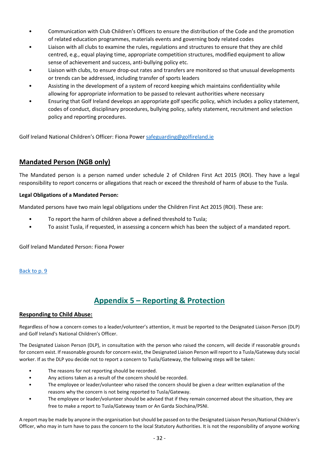- Communication with Club Children's Officers to ensure the distribution of the Code and the promotion of related education programmes, materials events and governing body related codes
- Liaison with all clubs to examine the rules, regulations and structures to ensure that they are child centred, e.g., equal playing time, appropriate competition structures, modified equipment to allow sense of achievement and success, anti-bullying policy etc.
- Liaison with clubs, to ensure drop-out rates and transfers are monitored so that unusual developments or trends can be addressed, including transfer of sports leaders
- Assisting in the development of a system of record keeping which maintains confidentiality while allowing for appropriate information to be passed to relevant authorities where necessary
- Ensuring that Golf Ireland develops an appropriate golf specific policy, which includes a policy statement, codes of conduct, disciplinary procedures, bullying policy, safety statement, recruitment and selection policy and reporting procedures.

Golf Ireland National Children's Officer: Fiona Power [safeguarding@golfireland.ie](mailto:safeguarding@golfireland.ie)

# **Mandated Person (NGB only)**

The Mandated person is a person named under schedule 2 of Children First Act 2015 (ROI). They have a legal responsibility to report concerns or allegations that reach or exceed the threshold of harm of abuse to the Tusla.

### **Legal Obligations of a Mandated Person:**

Mandated persons have two main legal obligations under the Children First Act 2015 (ROI). These are:

- To report the harm of children above a defined threshold to Tusla;
- To assist Tusla, if requested, in assessing a concern which has been the subject of a mandated report.

Golf Ireland Mandated Person: Fiona Power

### <span id="page-31-0"></span>[Back to p. 9](#page-8-0)

# **Appendix 5 – Reporting & Protection**

### **Responding to Child Abuse:**

Regardless of how a concern comes to a leader/volunteer's attention, it must be reported to the Designated Liaison Person (DLP) and Golf Ireland's National Children's Officer.

The Designated Liaison Person (DLP), in consultation with the person who raised the concern, will decide if reasonable grounds for concern exist. If reasonable grounds for concern exist, the Designated Liaison Person will report to a Tusla/Gateway duty social worker. If as the DLP you decide not to report a concern to Tusla/Gateway, the following steps will be taken:

- The reasons for not reporting should be recorded.
- Any actions taken as a result of the concern should be recorded.
- The employee or leader/volunteer who raised the concern should be given a clear written explanation of the reasons why the concern is not being reported to Tusla/Gateway.
- The employee or leader/volunteer should be advised that if they remain concerned about the situation, they are free to make a report to Tusla/Gateway team or An Garda Síochána/PSNI.

A report may be made by anyone in the organisation but should be passed on to the Designated Liaison Person/National Children's Officer, who may in turn have to pass the concern to the local Statutory Authorities. It is not the responsibility of anyone working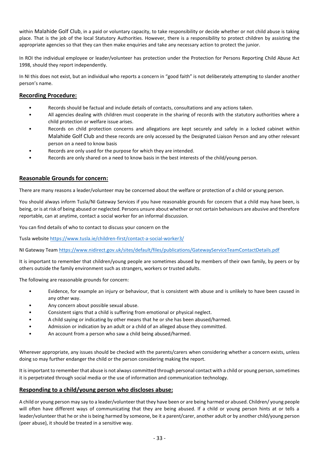within Malahide Golf Club, in a paid or voluntary capacity, to take responsibility or decide whether or not child abuse is taking place. That is the job of the local Statutory Authorities. However, there is a responsibility to protect children by assisting the appropriate agencies so that they can then make enquiries and take any necessary action to protect the junior.

In ROI the individual employee or leader/volunteer has protection under the Protection for Persons Reporting Child Abuse Act 1998, should they report independently.

In NI this does not exist, but an individual who reports a concern in "good faith" is not deliberately attempting to slander another person's name.

#### **Recording Procedure:**

- Records should be factual and include details of contacts, consultations and any actions taken.
- All agencies dealing with children must cooperate in the sharing of records with the statutory authorities where a child protection or welfare issue arises.
- Records on child protection concerns and allegations are kept securely and safely in a locked cabinet within Malahide Golf Club and these records are only accessed by the Designated Liaison Person and any other relevant person on a need to know basis
- Records are only used for the purpose for which they are intended.
- Records are only shared on a need to know basis in the best interests of the child/young person.

#### **Reasonable Grounds for concern:**

There are many reasons a leader/volunteer may be concerned about the welfare or protection of a child or young person.

You should always inform Tusla/NI Gateway Services if you have reasonable grounds for concern that a child may have been, is being, or is at risk of being abused or neglected. Persons unsure about whether or not certain behaviours are abusive and therefore reportable, can at anytime, contact a social worker for an informal discussion.

You can find details of who to contact to discuss your concern on the

Tusla websit[e https://www.tusla.ie/children-first/contact-a-social-worker3/](https://www.tusla.ie/children-first/contact-a-social-worker3/)

NI Gateway Team<https://www.nidirect.gov.uk/sites/default/files/publications/GatewayServiceTeamContactDetails.pdf>

It is important to remember that children/young people are sometimes abused by members of their own family, by peers or by others outside the family environment such as strangers, workers or trusted adults.

The following are reasonable grounds for concern:

- Evidence, for example an injury or behaviour, that is consistent with abuse and is unlikely to have been caused in any other way.
- Any concern about possible sexual abuse.
- Consistent signs that a child is suffering from emotional or physical neglect.
- A child saying or indicating by other means that he or she has been abused/harmed.
- Admission or indication by an adult or a child of an alleged abuse they committed.
- An account from a person who saw a child being abused/harmed.

Wherever appropriate, any issues should be checked with the parents/carers when considering whether a concern exists, unless doing so may further endanger the child or the person considering making the report.

It is important to remember that abuse is not always committed through personal contact with a child or young person, sometimes it is perpetrated through social media or the use of information and communication technology.

#### **Responding to a child/young person who discloses abuse:**

A child or young person may say to a leader/volunteer that they have been or are being harmed or abused. Children/ young people will often have different ways of communicating that they are being abused. If a child or young person hints at or tells a leader/volunteer that he or she is being harmed by someone, be it a parent/carer, another adult or by another child/young person (peer abuse), it should be treated in a sensitive way.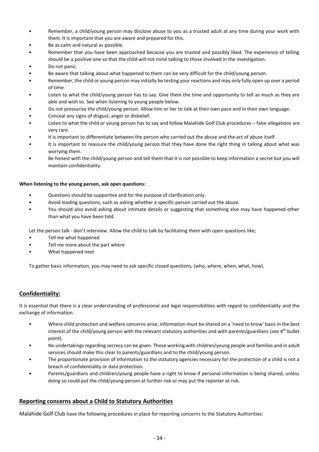- Remember, a child/young person may disclose abuse to you as a trusted adult at any time during your work with them. It is important that you are aware and prepared for this.
- Be as calm and natural as possible.
- Remember that you have been approached because you are trusted and possibly liked. The experience of telling should be a positive one so that the child will not mind talking to those involved in the investigation.
- Do not panic.
- Be aware that talking about what happened to them can be very difficult for the child/young person.
- Remember, the child or young person may initially be testing your reactions and may only fully open up over a period of time.
- Listen to what the child/young person has to say. Give them the time and opportunity to tell as much as they are able and wish to. See when listening to young people below.
- Do not pressurise the child/young person. Allow him or her to talk at their own pace and in their own language.
- Conceal any signs of disgust, anger or disbelief.
- Listen to what the child or young person has to say and follow Malahide Golf Club procedures false allegations are very rare.
- It is important to differentiate between the person who carried out the abuse and the act of abuse itself.
- It is important to reassure the child/young person that they have done the right thing in talking about what was worrying them.
- Be honest with the child/young person and tell them that it is not possible to keep information a secret but you will maintain confidentiality.

#### **When listening to the young person, ask open questions:**

- Questions should be supportive and for the purpose of clarification only.
- Avoid leading questions, such as asking whether a specific person carried out the abuse.
- You should also avoid asking about intimate details or suggesting that something else may have happened other than what you have been told.

Let the person talk - don't interview. Allow the child to talk by facilitating them with open questions like;

- Tell me what happened
- Tell me more about the part where
- What happened next

To gather basic information, you may need to ask specific closed questions, (who, where, when, what, how).

#### **Confidentiality:**

It is essential that there is a clear understanding of professional and legal responsibilities with regard to confidentiality and the exchange of information.

- Where child protection and welfare concerns arise, information must be shared on a 'need to know' basis in the best interest of the child/young person with the relevant statutory authorities and with parents/guardians (see  $4<sup>th</sup>$  bullet point).
- No undertakings regarding secrecy can be given. Those working with children/young people and families and in adult services should make this clear to parents/guardians and to the child/young person.
- The proportionate provision of information to the statutory agencies necessary for the protection of a child is not a breach of confidentiality or data protection.
- Parents/guardians and children/young people have a right to know if personal information is being shared, unless doing so could put the child/young person at further risk or may put the reporter at risk.

#### **Reporting concerns about a Child to Statutory Authorities**

Malahide Golf Club have the following procedures in place for reporting concerns to the Statutory Authorities: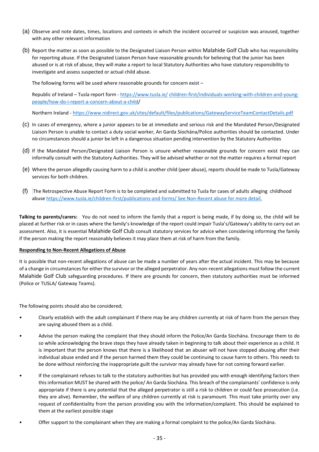- (a) Observe and note dates, times, locations and contexts in which the incident occurred or suspicion was aroused, together with any other relevant information
- (b) Report the matter as soon as possible to the Designated Liaison Person within Malahide Golf Club who has responsibility for reporting abuse. If the Designated Liaison Person have reasonable grounds for believing that the junior has been abused or is at risk of abuse, they will make a report to local Statutory Authorities who have statutory responsibility to investigate and assess suspected or actual child abuse.

The following forms will be used where reasonable grounds for concern exist –

Republic of Ireland – Tusla report form - [https://www.tusla.ie/](https://www.tusla.ie/children-first/individuals-working-with-children-and-young-people/how-do-i-report-a-concern-about-a-child/) [children-first/individuals-working-with-children-and-young](https://www.tusla.ie/children-first/individuals-working-with-children-and-young-people/how-do-i-report-a-concern-about-a-child/)[people/how-do-i-report-a-concern-about-a-child/](https://www.tusla.ie/children-first/individuals-working-with-children-and-young-people/how-do-i-report-a-concern-about-a-child/)

Northern Ireland - <https://www.nidirect.gov.uk/sites/default/files/publications/GatewayServiceTeamContactDetails.pdf>

- (c) In cases of emergency, where a junior appears to be at immediate and serious risk and the Mandated Person/Designated Liaison Person is unable to contact a duty social worker, An Garda Síochána/Police authorities should be contacted. Under no circumstances should a junior be left in a dangerous situation pending intervention by the Statutory Authorities
- (d) If the Mandated Person/Designated Liaison Person is unsure whether reasonable grounds for concern exist they can informally consult with the Statutory Authorities. They will be advised whether or not the matter requires a formal report
- (e) Where the person allegedly causing harm to a child is another child (peer abuse), reports should be made to Tusla/Gateway services for both children.
- (f) The Retrospective Abuse Report Form is to be completed and submitted to Tusla for cases of adults alleging childhood abus[e https://www.tusla.ie/children-first/publications-and-forms/](https://www.tusla.ie/children-first/publications-and-forms/) See Non-Recent abuse for more detail.

**Talking to parents/carers:** You do not need to inform the family that a report is being made, if by doing so, the child will be placed at further risk or in cases where the family's knowledge of the report could impair Tusla's/Gateway's ability to carry out an assessment. Also, it is essential Malahide Golf Club consult statutory services for advice when considering informing the family if the person making the report reasonably believes it may place them at risk of harm from the family.

#### **Responding to Non-Recent Allegations of Abuse**

It is possible that non-recent allegations of abuse can be made a number of years after the actual incident. This may be because of a change in circumstances for either the survivor or the alleged perpetrator. Any non-recent allegations must follow the current Malahide Golf Club safeguarding procedures. If there are grounds for concern, then statutory authorities must be informed (Police or TUSLA/ Gateway Teams).

The following points should also be considered;

- Clearly establish with the adult complainant if there may be any children currently at risk of harm from the person they are saying abused them as a child.
- Advise the person making the complaint that they should inform the Police/An Garda Síochána. Encourage them to do so while acknowledging the brave steps they have already taken in beginning to talk about their experience as a child. It is important that the person knows that there is a likelihood that an abuser will not have stopped abusing after their individual abuse ended and if the person harmed them they could be continuing to cause harm to others. This needs to be done without reinforcing the inappropriate guilt the survivor may already have for not coming forward earlier.
- If the complainant refuses to talk to the statutory authorities but has provided you with enough identifying factors then this information MUST be shared with the police/ An Garda Síochána. This breach of the complainants' confidence is only appropriate if there is any potential that the alleged perpetrator is still a risk to children or could face prosecution (i.e. they are alive). Remember, the welfare of any children currently at risk is paramount. This must take priority over any request of confidentiality from the person providing you with the information/complaint. This should be explained to them at the earliest possible stage
- Offer support to the complainant when they are making a formal complaint to the police/An Garda Síochána.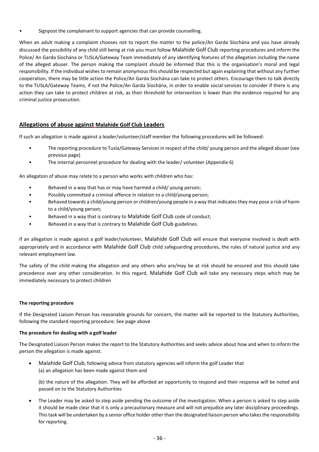Signpost the complainant to support agencies that can provide counselling.

When an adult making a complaint chooses not to report the matter to the police/An Garda Síochána and you have already discussed the possibility of any child still being at risk you must follow Malahide Golf Club reporting procedures and inform the Police/ An Garda Síochána or TUSLA/Gateway Team immediately of any identifying features of the allegation including the name of the alleged abuser. The person making the complaint should be informed that this is the organisation's moral and legal responsibility. If the individual wishes to remain anonymous this should be respected but again explaining that without any further cooperation, there may be little action the Police/An Garda Síochána can take to protect others. Encourage them to talk directly to the TUSLA/Gateway Teams, if not the Police/An Garda Síochána, in order to enable social services to consider if there is any action they can take to protect children at risk, as their threshold for intervention is lower than the evidence required for any criminal justice prosecution.

## **Allegations of abuse against Malahide Golf Club Leaders**

If such an allegation is made against a leader/volunteer/staff member the following procedures will be followed:

- The reporting procedure to Tusla/Gateway Services in respect of the child/ young person and the alleged abuser (see previous page)
- The internal personnel procedure for dealing with the leader/ volunteer.(Appendix 6)

An allegation of abuse may relate to a person who works with children who has:

- Behaved in a way that has or may have harmed a child/ young person;
- Possibly committed a criminal offence in relation to a child/young person;
- Behaved towards a child/young person or children/young people in a way that indicates they may pose a risk of harm to a child/young person;
- Behaved in a way that is contrary to Malahide Golf Club code of conduct;
- Behaved in a way that is contrary to Malahide Golf Club guidelines.

If an allegation is made against a golf leader/volunteer, Malahide Golf Club will ensure that everyone involved is dealt with appropriately and in accordance with Malahide Golf Club child safeguarding procedures, the rules of natural justice and any relevant employment law.

The safety of the child making the allegation and any others who are/may be at risk should be ensured and this should take precedence over any other consideration. In this regard, Malahide Golf Club will take any necessary steps which may be immediately necessary to protect children

#### **The reporting procedure**

If the Designated Liaison Person has reasonable grounds for concern, the matter will be reported to the Statutory Authorities, following the standard reporting procedure. See page above

#### **The procedure for dealing with a golf leader**

The Designated Liaison Person makes the report to the Statutory Authorities and seeks advice about how and when to inform the person the allegation is made against.

• Malahide Golf Club, following advice from statutory agencies will inform the golf Leader that (a) an allegation has been made against them and

(b) the nature of the allegation. They will be afforded an opportunity to respond and their response will be noted and passed on to the Statutory Authorities

• The Leader may be asked to step aside pending the outcome of the investigation. When a person is asked to step aside it should be made clear that it is only a precautionary measure and will not prejudice any later disciplinary proceedings. This task will be undertaken by a senior office holder other than the designated liaison person who takes the responsibility for reporting.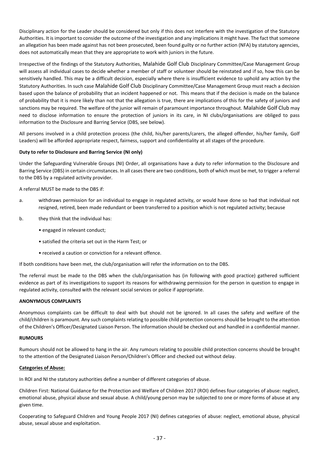Disciplinary action for the Leader should be considered but only if this does not interfere with the investigation of the Statutory Authorities. It is important to consider the outcome of the investigation and any implications it might have. The fact that someone an allegation has been made against has not been prosecuted, been found guilty or no further action (NFA) by statutory agencies, does not automatically mean that they are appropriate to work with juniors in the future.

Irrespective of the findings of the Statutory Authorities, Malahide Golf Club Disciplinary Committee/Case Management Group will assess all individual cases to decide whether a member of staff or volunteer should be reinstated and if so, how this can be sensitively handled. This may be a difficult decision, especially where there is insufficient evidence to uphold any action by the Statutory Authorities. In such case Malahide Golf Club Disciplinary Committee/Case Management Group must reach a decision based upon the balance of probability that an incident happened or not. This means that if the decision is made on the balance of probability that it is more likely than not that the allegation is true, there are implications of this for the safety of juniors and sanctions may be required. The welfare of the junior will remain of paramount importance throughout. Malahide Golf Club may need to disclose information to ensure the protection of juniors in its care, in NI clubs/organisations are obliged to pass information to the Disclosure and Barring Service (DBS, see below).

All persons involved in a child protection process (the child, his/her parents/carers, the alleged offender, his/her family, Golf Leaders) will be afforded appropriate respect, fairness, support and confidentiality at all stages of the procedure.

#### **Duty to refer to Disclosure and Barring Service (NI only)**

Under the Safeguarding Vulnerable Groups (NI) Order, all organisations have a duty to refer information to the Disclosure and Barring Service (DBS) in certain circumstances. In all cases there are two conditions, both of which must be met, to trigger a referral to the DBS by a regulated activity provider.

A referral MUST be made to the DBS if:

- a. withdraws permission for an individual to engage in regulated activity, or would have done so had that individual not resigned, retired, been made redundant or been transferred to a position which is not regulated activity; because
- b. they think that the individual has:
	- engaged in relevant conduct;
	- satisfied the criteria set out in the Harm Test; or
	- received a caution or conviction for a relevant offence.

If both conditions have been met, the club/organisation will refer the information on to the DBS.

The referral must be made to the DBS when the club/organisation has (in following with good practice) gathered sufficient evidence as part of its investigations to support its reasons for withdrawing permission for the person in question to engage in regulated activity, consulted with the relevant social services or police if appropriate.

#### **ANONYMOUS COMPLAINTS**

Anonymous complaints can be difficult to deal with but should not be ignored. In all cases the safety and welfare of the child/children is paramount. Any such complaints relating to possible child protection concerns should be brought to the attention of the Children's Officer/Designated Liaison Person. The information should be checked out and handled in a confidential manner.

#### **RUMOURS**

Rumours should not be allowed to hang in the air. Any rumours relating to possible child protection concerns should be brought to the attention of the Designated Liaison Person/Children's Officer and checked out without delay.

#### **Categories of Abuse:**

In ROI and NI the statutory authorities define a number of different categories of abuse.

Children First: National Guidance for the Protection and Welfare of Children 2017 (ROI) defines four categories of abuse: neglect, emotional abuse, physical abuse and sexual abuse. A child/young person may be subjected to one or more forms of abuse at any given time.

Cooperating to Safeguard Children and Young People 2017 (NI) defines categories of abuse: neglect, emotional abuse, physical abuse, sexual abuse and exploitation.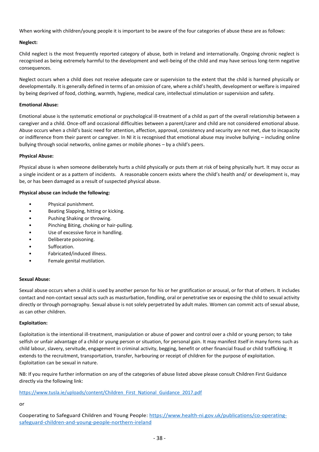When working with children/young people it is important to be aware of the four categories of abuse these are as follows:

#### **Neglect:**

Child neglect is the most frequently reported category of abuse, both in Ireland and internationally. Ongoing chronic neglect is recognised as being extremely harmful to the development and well-being of the child and may have serious long-term negative consequences.

Neglect occurs when a child does not receive adequate care or supervision to the extent that the child is harmed physically or developmentally. It is generally defined in terms of an omission of care, where a child's health, development or welfare is impaired by being deprived of food, clothing, warmth, hygiene, medical care, intellectual stimulation or supervision and safety.

#### **Emotional Abuse:**

Emotional abuse is the systematic emotional or psychological ill-treatment of a child as part of the overall relationship between a caregiver and a child. Once-off and occasional difficulties between a parent/carer and child are not considered emotional abuse. Abuse occurs when a child's basic need for attention, affection, approval, consistency and security are not met, due to incapacity or indifference from their parent or caregiver. In NI it is recognised that emotional abuse may involve bullying – including online bullying through social networks, online games or mobile phones – by a child's peers.

#### **Physical Abuse:**

Physical abuse is when someone deliberately hurts a child physically or puts them at risk of being physically hurt. It may occur as a single incident or as a pattern of incidents. A reasonable concern exists where the child's health and/ or development is, may be, or has been damaged as a result of suspected physical abuse.

#### **Physical abuse can include the following:**

- Physical punishment.
- Beating Slapping, hitting or kicking.
- Pushing Shaking or throwing.
- Pinching Biting, choking or hair-pulling.
- Use of excessive force in handling.
- Deliberate poisoning.
- Suffocation.
- Fabricated/induced illness.
- Female genital mutilation.

#### **Sexual Abuse:**

Sexual abuse occurs when a child is used by another person for his or her gratification or arousal, or for that of others. It includes contact and non-contact sexual acts such as masturbation, fondling, oral or penetrative sex or exposing the child to sexual activity directly or through pornography. Sexual abuse is not solely perpetrated by adult males. Women can commit acts of sexual abuse, as can other children.

#### **Exploitation:**

Exploitation is the intentional ill-treatment, manipulation or abuse of power and control over a child or young person; to take selfish or unfair advantage of a child or young person or situation, for personal gain. It may manifest itself in many forms such as child labour, slavery, servitude, engagement in criminal activity, begging, benefit or other financial fraud or child trafficking. It extends to the recruitment, transportation, transfer, harbouring or receipt of children for the purpose of exploitation. Exploitation can be sexual in nature.

NB: If you require further information on any of the categories of abuse listed above please consult Children First Guidance directly via the following link:

#### [https://www.tusla.ie/uploads/content/Children\\_First\\_National\\_Guidance\\_2017.pdf](https://www.tusla.ie/uploads/content/Children_First_National_Guidance_2017.pdf)

### or

Cooperating to Safeguard Children and Young People: [https://www.health-ni.gov.uk/publications/co-operating](https://www.health-ni.gov.uk/publications/co-operating-safeguard-children-and-young-people-northern-ireland)[safeguard-children-and-young-people-northern-ireland](https://www.health-ni.gov.uk/publications/co-operating-safeguard-children-and-young-people-northern-ireland)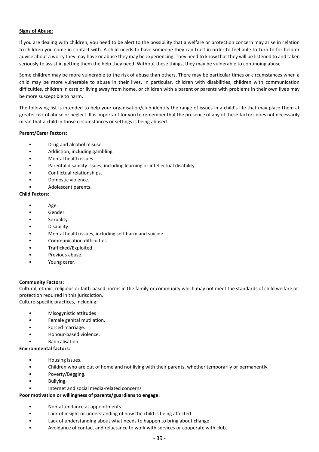#### **Signs of Abuse:**

If you are dealing with children, you need to be alert to the possibility that a welfare or protection concern may arise in relation to children you come in contact with. A child needs to have someone they can trust in order to feel able to turn to for help or advice about a worry they may have or abuse they may be experiencing. They need to know that they will be listened to and taken seriously to assist in getting them the help they need. Without these things, they may be vulnerable to continuing abuse.

Some children may be more vulnerable to the risk of abuse than others. There may be particular times or circumstances when a child may be more vulnerable to abuse in their lives. In particular, children with disabilities, children with communication difficulties, children in care or living away from home, or children with a parent or parents with problems in their own lives may be more susceptible to harm.

The following list is intended to help your organisation/club identify the range of issues in a child's life that may place them at greater risk of abuse or neglect. It is important for you to remember that the presence of any of these factors does not necessarily mean that a child in those circumstances or settings is being abused.

#### **Parent/Carer Factors:**

- Drug and alcohol misuse.
- Addiction, including gambling.
- Mental health issues.
- Parental disability issues, including learning or intellectual disability.
- Conflictual relationships.
- Domestic violence.
- Adolescent parents.

#### **Child Factors:**

- Age.
- Gender.
- Sexuality.
- Disability.
- Mental health issues, including self-harm and suicide.
- Communication difficulties.
- Trafficked/Exploited.
- Previous abuse.
- Young carer.

#### **Community Factors:**

Cultural, ethnic, religious or faith-based norms in the family or community which may not meet the standards of child welfare or protection required in this jurisdiction. Culture-specific practices, including:

- Misogynistic attitudes
- Female genital mutilation.
- Forced marriage.
- Honour-based violence.
- Radicalisation.

#### **Environmental factors:**

- Housing issues.
- Children who are out of home and not living with their parents, whether temporarily or permanently.
- Poverty/Begging.
- Bullving.
- Internet and social media-related concerns

#### **Poor motivation or willingness of parents/guardians to engage:**

- Non-attendance at appointments.
- Lack of insight or understanding of how the child is being affected.
- Lack of understanding about what needs to happen to bring about change.
- Avoidance of contact and reluctance to work with services or cooperate with club.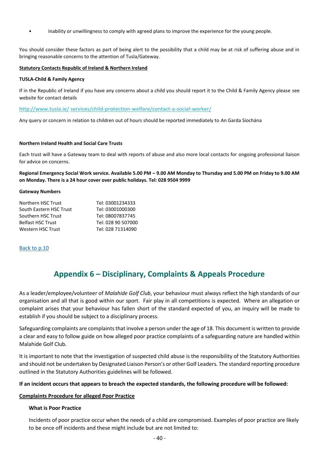• Inability or unwillingness to comply with agreed plans to improve the experience for the young people.

You should consider these factors as part of being alert to the possibility that a child may be at risk of suffering abuse and in bringing reasonable concerns to the attention of Tusla/Gateway.

#### **Statutory Contacts Republic of Ireland & Northern Ireland**

#### **TUSLA-Child & Family Agency**

If in the Republic of Ireland if you have any concerns about a child you should report it to the Child & Family Agency please see website for contact details

[http://www.tusla.ie/](http://www.tusla.ie/services/child-protection-welfare/contact-a-social-worker/) [services/child-protection-welfare/contact-a-social-worker/](http://www.tusla.ie/services/child-protection-welfare/contact-a-social-worker/)

Any query or concern in relation to children out of hours should be reported immediately to An Garda Síochána

#### **Northern Ireland Health and Social Care Trusts**

Each trust will have a Gateway team to deal with reports of abuse and also more local contacts for ongoing professional liaison for advice on concerns.

**Regional Emergency Social Work service. Available 5.00 PM – 9.00 AM Monday to Thursday and 5.00 PM on Friday to 9.00 AM on Monday. There is a 24 hour cover over public holidays. Tel: 028 9504 9999**

#### **Gateway Numbers**

| Tel: 03001234333   |
|--------------------|
| Tel: 03001000300   |
| Tel: 08007837745   |
| Tel: 028 90 507000 |
| Tel: 028 71314090  |
|                    |

#### [Back to p.10](#page-9-0)

# **Appendix 6 – Disciplinary, Complaints & Appeals Procedure**

<span id="page-39-0"></span>As a leader/employee/volunteer of *Malahide Golf Club*, your behaviour must always reflect the high standards of our organisation and all that is good within our sport. Fair play in all competitions is expected. Where an allegation or complaint arises that your behaviour has fallen short of the standard expected of you, an inquiry will be made to establish if you should be subject to a disciplinary process.

Safeguarding complaints are complaints that involve a person under the age of 18. This document is written to provide a clear and easy to follow guide on how alleged poor practice complaints of a safeguarding nature are handled within Malahide Golf Club**.**

It is important to note that the investigation of suspected child abuse is the responsibility of the Statutory Authorities and should not be undertaken by Designated Liaison Person's or other Golf Leaders. The standard reporting procedure outlined in the Statutory Authorities guidelines will be followed.

#### **If an incident occurs that appears to breach the expected standards, the following procedure will be followed:**

#### **Complaints Procedure for alleged Poor Practice**

#### **What is Poor Practice**

Incidents of poor practice occur when the needs of a child are compromised. Examples of poor practice are likely to be once off incidents and these might include but are not limited to: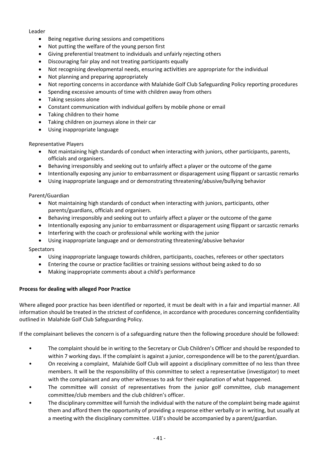#### Leader

- Being negative during sessions and competitions
- Not putting the welfare of the young person first
- Giving preferential treatment to individuals and unfairly rejecting others
- Discouraging fair play and not treating participants equally
- Not recognising developmental needs, ensuring activities are appropriate for the individual
- Not planning and preparing appropriately
- Not reporting concerns in accordance with Malahide Golf Club Safeguarding Policy reporting procedures
- Spending excessive amounts of time with children away from others
- Taking sessions alone
- Constant communication with individual golfers by mobile phone or email
- Taking children to their home
- Taking children on journeys alone in their car
- Using inappropriate language

Representative Players

- Not maintaining high standards of conduct when interacting with juniors, other participants, parents, officials and organisers.
- Behaving irresponsibly and seeking out to unfairly affect a player or the outcome of the game
- Intentionally exposing any junior to embarrassment or disparagement using flippant or sarcastic remarks
- Using inappropriate language and or demonstrating threatening/abusive/bullying behavior

#### Parent/Guardian

- Not maintaining high standards of conduct when interacting with juniors, participants, other parents/guardians, officials and organisers.
- Behaving irresponsibly and seeking out to unfairly affect a player or the outcome of the game
- Intentionally exposing any junior to embarrassment or disparagement using flippant or sarcastic remarks
- Interfering with the coach or professional while working with the junior
- Using inappropriate language and or demonstrating threatening/abusive behavior

#### Spectators

- Using inappropriate language towards children, participants, coaches, referees or other spectators
- Entering the course or practice facilities or training sessions without being asked to do so
- Making inappropriate comments about a child's performance

#### **Process for dealing with alleged Poor Practice**

Where alleged poor practice has been identified or reported, it must be dealt with in a fair and impartial manner. All information should be treated in the strictest of confidence, in accordance with procedures concerning confidentiality outlined in Malahide Golf Club Safeguarding Policy.

If the complainant believes the concern is of a safeguarding nature then the following procedure should be followed:

- The complaint should be in writing to the Secretary or Club Children's Officer and should be responded to within 7 working days. If the complaint is against a junior, correspondence will be to the parent/guardian.
- On receiving a complaint, Malahide Golf Club will appoint a disciplinary committee of no less than three members. It will be the responsibility of this committee to select a representative (investigator) to meet with the complainant and any other witnesses to ask for their explanation of what happened.
- The committee will consist of representatives from the junior golf committee, club management committee/club members and the club children's officer.
- The disciplinary committee will furnish the individual with the nature of the complaint being made against them and afford them the opportunity of providing a response either verbally or in writing, but usually at a meeting with the disciplinary committee. U18's should be accompanied by a parent/guardian.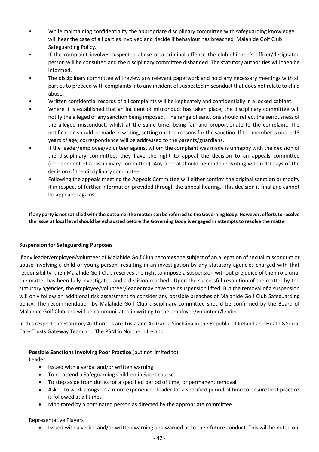- While maintaining confidentiality the appropriate disciplinary committee with safeguarding knowledge will hear the case of all parties involved and decide if behaviour has breached Malahide Golf Club Safeguarding Policy.
- If the complaint involves suspected abuse or a criminal offence the club children's officer/designated person will be consulted and the disciplinary committee disbanded. The statutory authorities will then be informed.
- The disciplinary committee will review any relevant paperwork and hold any necessary meetings with all parties to proceed with complaints into any incident of suspected misconduct that does not relate to child abuse.
- Written confidential records of all complaints will be kept safely and confidentially in a locked cabinet.
- Where it is established that an incident of misconduct has taken place, the disciplinary committee will notify the alleged of any sanction being imposed. The range of sanctions should reflect the seriousness of the alleged misconduct, whilst at the same time, being fair and proportionate to the complaint. The notification should be made in writing, setting out the reasons for the sanction. If the member is under 18 years of age, correspondence will be addressed to the parents/guardians.
- If the leader/employee/volunteer against whom the complaint was made is unhappy with the decision of the disciplinary committee, they have the right to appeal the decision to an appeals committee (independent of a disciplinary committee). Any appeal should be made in writing within 10 days of the decision of the disciplinary committee.
- Following the appeals meeting the Appeals Committee will either confirm the original sanction or modify it in respect of further information provided through the appeal hearing. This decision is final and cannot be appealed against.

**If any party is not satisfied with the outcome, the matter can be referred to the Governing Body. However, efforts to resolve the issue at local level should be exhausted before the Governing Body is engaged in attempts to resolve the matter.**

### **Suspension for Safeguarding Purposes**

If any leader/employee/volunteer of Malahide Golf Club becomes the subject of an allegation of sexual misconduct or abuse involving a child or young person, resulting in an investigation by any statutory agencies charged with that responsibility, then Malahide Golf Club reserves the right to impose a suspension without prejudice of their role until the matter has been fully investigated and a decision reached. Upon the successful resolution of the matter by the statutory agencies, the employee/volunteer/leader may have their suspension lifted. But the removal of a suspension will only follow an additional risk assessment to consider any possible breaches of Malahide Golf Club Safeguarding policy. The recommendation by Malahide Golf Club disciplinary committee should be confirmed by the Board of Malahide Golf Club and will be communicated in writing to the employee/volunteer/leader.

In this respect the Statutory Authorities are Tusla and An Garda Síochána in the Republic of Ireland and Heath &Social Care Trusts Gateway Team and The PSNI in Northern Ireland.

### **Possible Sanctions Involving Poor Practice** (but not limited to)

Leader

- Issued with a verbal and/or written warning
- To re-attend a Safeguarding Children in Sport course
- To step aside from duties for a specified period of time, or permanent removal
- Asked to work alongside a more experienced leader for a specified period of time to ensure best practice is followed at all times
- Monitored by a nominated person as directed by the appropriate committee

#### Representative Players

• Issued with a verbal and/or written warning and warned as to their future conduct. This will be noted on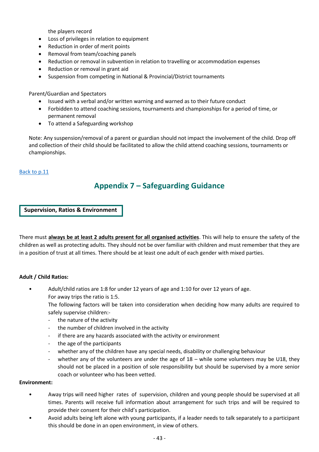the players record

- Loss of privileges in relation to equipment
- Reduction in order of merit points
- Removal from team/coaching panels
- Reduction or removal in subvention in relation to travelling or accommodation expenses
- Reduction or removal in grant aid
- Suspension from competing in National & Provincial/District tournaments

Parent/Guardian and Spectators

- Issued with a verbal and/or written warning and warned as to their future conduct
- Forbidden to attend coaching sessions, tournaments and championships for a period of time, or permanent removal
- To attend a Safeguarding workshop

Note: Any suspension/removal of a parent or guardian should not impact the involvement of the child. Drop off and collection of their child should be facilitated to allow the child attend coaching sessions, tournaments or championships.

#### <span id="page-42-0"></span>[Back to p.11](#page-9-0)

# **Appendix 7 – Safeguarding Guidance**

**Supervision, Ratios & Environment**

There must **always be at least 2 adults present for all organised activities**. This will help to ensure the safety of the children as well as protecting adults. They should not be over familiar with children and must remember that they are in a position of trust at all times. There should be at least one adult of each gender with mixed parties.

#### **Adult / Child Ratios:**

• Adult/child ratios are 1:8 for under 12 years of age and 1:10 for over 12 years of age. For away trips the ratio is 1:5.

The following factors will be taken into consideration when deciding how many adults are required to safely supervise children:-

- the nature of the activity
- the number of children involved in the activity
- if there are any hazards associated with the activity or environment
- the age of the participants
- whether any of the children have any special needs, disability or challenging behaviour
- whether any of the volunteers are under the age of  $18 -$  while some volunteers may be U18, they should not be placed in a position of sole responsibility but should be supervised by a more senior coach or volunteer who has been vetted.

#### **Environment:**

- Away trips will need higher rates of supervision, children and young people should be supervised at all times. Parents will receive full information about arrangement for such trips and will be required to provide their consent for their child's participation.
- Avoid adults being left alone with young participants, if a leader needs to talk separately to a participant this should be done in an open environment, in view of others.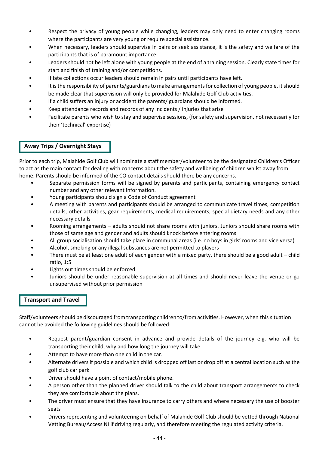- Respect the privacy of young people while changing, leaders may only need to enter changing rooms where the participants are very young or require special assistance.
- When necessary, leaders should supervise in pairs or seek assistance, it is the safety and welfare of the participants that is of paramount importance.
- Leaders should not be left alone with young people at the end of a training session. Clearly state times for start and finish of training and/or competitions.
- If late collections occur leaders should remain in pairs until participants have left.
- It is the responsibility of parents/guardians to make arrangements for collection of young people, it should be made clear that supervision will only be provided for Malahide Golf Club activities.
- If a child suffers an injury or accident the parents/ guardians should be informed.
- Keep attendance records and records of any incidents / injuries that arise
- Facilitate parents who wish to stay and supervise sessions, (for safety and supervision, not necessarily for their 'technical' expertise)

## **Away Trips / Overnight Stays**

Prior to each trip, Malahide Golf Club will nominate a staff member/volunteer to be the designated Children's Officer to act as the main contact for dealing with concerns about the safety and wellbeing of children whilst away from home. Parents should be informed of the CO contact details should there be any concerns.

- Separate permission forms will be signed by parents and participants, containing emergency contact number and any other relevant information.
- Young participants should sign a Code of Conduct agreement
- A meeting with parents and participants should be arranged to communicate travel times, competition details, other activities, gear requirements, medical requirements, special dietary needs and any other necessary details
- Rooming arrangements adults should not share rooms with juniors. Juniors should share rooms with those of same age and gender and adults should knock before entering rooms
- All group socialisation should take place in communal areas (i.e. no boys in girls' rooms and vice versa)
- Alcohol, smoking or any illegal substances are not permitted to players
- There must be at least one adult of each gender with a mixed party, there should be a good adult child ratio, 1:5
- Lights out times should be enforced
- Juniors should be under reasonable supervision at all times and should never leave the venue or go unsupervised without prior permission

### **Transport and Travel**

Staff/volunteers should be discouraged from transporting children to/from activities. However, when this situation cannot be avoided the following guidelines should be followed:

- Request parent/guardian consent in advance and provide details of the journey e.g. who will be transporting their child, why and how long the journey will take.
- Attempt to have more than one child in the car.
- Alternate drivers if possible and which child is dropped off last or drop off at a central location such as the golf club car park
- Driver should have a point of contact/mobile phone.
- A person other than the planned driver should talk to the child about transport arrangements to check they are comfortable about the plans.
- The driver must ensure that they have insurance to carry others and where necessary the use of booster seats
- Drivers representing and volunteering on behalf of Malahide Golf Club should be vetted through National Vetting Bureau/Access NI if driving regularly, and therefore meeting the regulated activity criteria.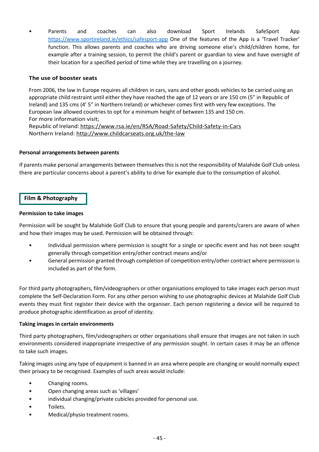• Parents and coaches can also download Sport Irelands SafeSport App <https://www.sportireland.ie/ethics/safesport-app> One of the features of the App is a 'Travel Tracker' function. This allows parents and coaches who are driving someone else's child/children home, for example after a training session, to permit the child's parent or guardian to view and have oversight of their location for a specified period of time while they are travelling on a journey.

#### **The use of booster seats**

From 2006, the law in Europe requires all children in cars, vans and other goods vehicles to be carried using an appropriate child restraint until either they have reached the age of 12 years or are 150 cm (5" in Republic of Ireland) and 135 cms (4' 5" in Northern Ireland) or whichever comes first with very few exceptions. The European law allowed countries to opt for a minimum height of between 135 and 150 cm. For more information visit; [Republic](file:///C:/Users/LaptopUser/AppData/Local/Microsoft/Windows/INetCache/Content.Outlook/T6Q1ET0F/Republic%20of%20Ireland) of Ireland: https://www.rsa.ie/en/RSA/Road-Safety/Child-Safety-in-Cars

[Northern Ireland:](file:///C:/Users/LaptopUser/AppData/Local/Microsoft/Windows/INetCache/Content.Outlook/T6Q1ET0F/Northern%20Ireland) [http://www.childcarseats.org.uk/the-law](http://www.childcarseats.org.uk/the-law/)

#### **Personal arrangements between parents**

If parents make personal arrangements between themselves this is not the responsibility of Malahide Golf Club unless there are particular concerns about a parent's ability to drive for example due to the consumption of alcohol.

## **Film & Photography**

#### **Permission to take images**

Permission will be sought by Malahide Golf Club to ensure that young people and parents/carers are aware of when and how their images may be used. Permission will be obtained through:

- Individual permission where permission is sought for a single or specific event and has not been sought generally through competition entry/other contract means and/or
- General permission granted through completion of competition entry/other contract where permission is included as part of the form.

For third party photographers, film/videographers or other organisations employed to take images each person must complete the Self-Declaration Form. For any other person wishing to use photographic devices at Malahide Golf Club events they must first register their device with the organiser. Each person registering a device will be required to produce photographic identification as proof of identity.

#### **Taking images in certain environments**

Third party photographers, film/videographers or other organisations shall ensure that images are not taken in such environments considered inappropriate irrespective of any permission sought. In certain cases it may be an offence to take such images.

Taking images using any type of equipment is banned in an area where people are changing or would normally expect their privacy to be recognised. Examples of such areas would include:

- Changing rooms.
- Open changing areas such as 'villages'
- individual changing/private cubicles provided for personal use.
- Toilets.
- Medical/physio treatment rooms.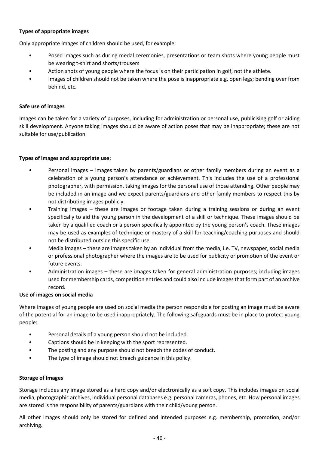### **Types of appropriate images**

Only appropriate images of children should be used, for example:

- Posed images such as during medal ceremonies, presentations or team shots where young people must be wearing t-shirt and shorts/trousers
- Action shots of young people where the focus is on their participation in golf, not the athlete.
- Images of children should not be taken where the pose is inappropriate e.g. open legs; bending over from behind, etc.

#### **Safe use of images**

Images can be taken for a variety of purposes, including for administration or personal use, publicising golf or aiding skill development. Anyone taking images should be aware of action poses that may be inappropriate; these are not suitable for use/publication.

#### **Types of images and appropriate use:**

- Personal images images taken by parents/guardians or other family members during an event as a celebration of a young person's attendance or achievement. This includes the use of a professional photographer, with permission, taking images for the personal use of those attending. Other people may be included in an image and we expect parents/guardians and other family members to respect this by not distributing images publicly.
- Training images these are images or footage taken during a training sessions or during an event specifically to aid the young person in the development of a skill or technique. These images should be taken by a qualified coach or a person specifically appointed by the young person's coach. These images may be used as examples of technique or mastery of a skill for teaching/coaching purposes and should not be distributed outside this specific use.
- Media images these are images taken by an individual from the media, i.e. TV, newspaper, social media or professional photographer where the images are to be used for publicity or promotion of the event or future events.
- Administration images these are images taken for general administration purposes; including images used for membership cards, competition entries and could also include images that form part of an archive record.

### **Use of images on social media**

Where images of young people are used on social media the person responsible for posting an image must be aware of the potential for an image to be used inappropriately. The following safeguards must be in place to protect young people:

- Personal details of a young person should not be included.
- Captions should be in keeping with the sport represented.
- The posting and any purpose should not breach the codes of conduct.
- The type of image should not breach guidance in this policy.

### **Storage of Images**

Storage includes any image stored as a hard copy and/or electronically as a soft copy. This includes images on social media, photographic archives, individual personal databases e.g. personal cameras, phones, etc. How personal images are stored is the responsibility of parents/guardians with their child/young person.

All other images should only be stored for defined and intended purposes e.g. membership, promotion, and/or archiving.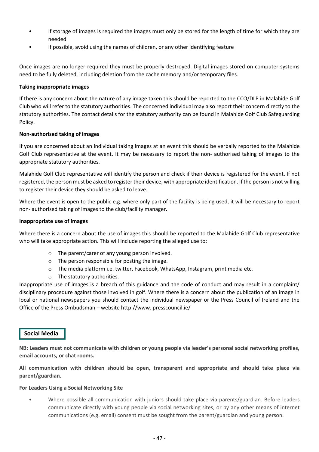- If storage of images is required the images must only be stored for the length of time for which they are needed
- If possible, avoid using the names of children, or any other identifying feature

Once images are no longer required they must be properly destroyed. Digital images stored on computer systems need to be fully deleted, including deletion from the cache memory and/or temporary files.

#### **Taking inappropriate images**

If there is any concern about the nature of any image taken this should be reported to the CCO/DLP in Malahide Golf Club who will refer to the statutory authorities. The concerned individual may also report their concern directly to the statutory authorities. The contact details for the statutory authority can be found in Malahide Golf Club Safeguarding Policy.

#### **Non-authorised taking of images**

If you are concerned about an individual taking images at an event this should be verbally reported to the Malahide Golf Club representative at the event. It may be necessary to report the non- authorised taking of images to the appropriate statutory authorities.

Malahide Golf Club representative will identify the person and check if their device is registered for the event. If not registered, the person must be asked to register their device, with appropriate identification. If the person is not willing to register their device they should be asked to leave.

Where the event is open to the public e.g. where only part of the facility is being used, it will be necessary to report non- authorised taking of images to the club/facility manager.

#### **Inappropriate use of images**

Where there is a concern about the use of images this should be reported to the Malahide Golf Club representative who will take appropriate action. This will include reporting the alleged use to:

- o The parent/carer of any young person involved.
- o The person responsible for posting the image.
- o The media platform i.e. twitter, Facebook, WhatsApp, Instagram, print media etc.
- o The statutory authorities.

Inappropriate use of images is a breach of this guidance and the code of conduct and may result in a complaint/ disciplinary procedure against those involved in golf. Where there is a concern about the publication of an image in local or national newspapers you should contact the individual newspaper or the Press Council of Ireland and the Office of the Press Ombudsman – website http://www. presscouncil.ie/

### **Social Media**

**NB: Leaders must not communicate with children or young people via leader's personal social networking profiles, email accounts, or chat rooms.**

**All communication with children should be open, transparent and appropriate and should take place via parent/guardian.**

#### **For Leaders Using a Social Networking Site**

• Where possible all communication with juniors should take place via parents/guardian. Before leaders communicate directly with young people via social networking sites, or by any other means of internet communications (e.g. email) consent must be sought from the parent/guardian and young person.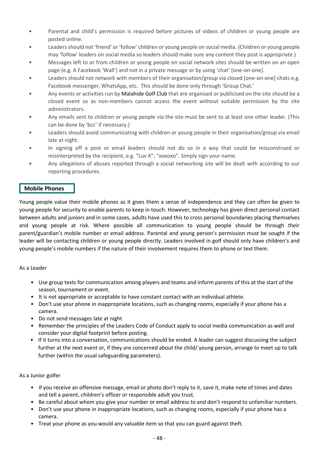- Parental and child's permission is required before pictures of videos of children or young people are posted online.
- Leaders should not 'friend' or 'follow' children or young people on social media. (Children or young people may 'follow' leaders on social media so leaders should make sure any content they post is appropriate.)
- Messages left to or from children or young people on social network sites should be written on an open page (e.g. A Facebook 'Wall') and not in a private message or by using 'chat' [one-on-one].
- Leaders should not network with members of their organisation/group via closed [one-on-one] chats e.g. Facebook messenger, WhatsApp, etc. This should be done only through 'Group Chat.'
- Any events or activities run by Malahide Golf Club that are organised or publicised on the site should be a closed event so as non-members cannot access the event without suitable permission by the site administrators.
- Any emails sent to children or young people via the site must be sent to at least one other leader. (This can be done by 'bcc' if necessary.)
- Leaders should avoid communicating with children or young people in their organisation/group via email late at night.
- In signing off a post or email leaders should not do so in a way that could be misconstrued or misinterpreted by the recipient, e.g. "Luv X"; "xoxoxo". Simply sign your name.
- Any allegations of abuses reported through a social networking site will be dealt with according to our reporting procedures.

## **Mobile Phones**

Young people value their mobile phones as it gives them a sense of independence and they can often be given to young people for security to enable parents to keep in touch. However, technology has given direct personal contact between adults and juniors and in some cases, adults have used this to cross personal boundaries placing themselves and young people at risk. Where possible all communication to young people should be through their parent/guardian's mobile number or email address. Parental and young person's permission must be sought if the leader will be contacting children or young people directly. Leaders involved in golf should only have children's and young people's mobile numbers if the nature of their involvement requires them to phone or text them.

### As a Leader

- Use group texts for communication among players and teams and inform parents of this at the start of the season, tournament or event.
- It is not appropriate or acceptable to have constant contact with an individual athlete.
- Don't use your phone in inappropriate locations, such as changing rooms, especially if your phone has a camera.
- Do not send messages late at night
- Remember the principles of the Leaders Code of Conduct apply to social media communication as well and consider your digital footprint before posting.
- If it turns into a conversation, communications should be ended. A leader can suggest discussing the subject further at the next event or, if they are concerned about the child/ young person, arrange to meet up to talk further (within the usual safeguarding parameters).

### As a Junior golfer

- If you receive an offensive message, email or photo don't reply to it, save it, make note of times and dates and tell a parent, children's officer or responsible adult you trust.
- Be careful about whom you give your number or email address to and don't respond to unfamiliar numbers.
- Don't use your phone in inappropriate locations, such as changing rooms, especially if your phone has a camera.
- Treat your phone as you would any valuable item so that you can guard against theft.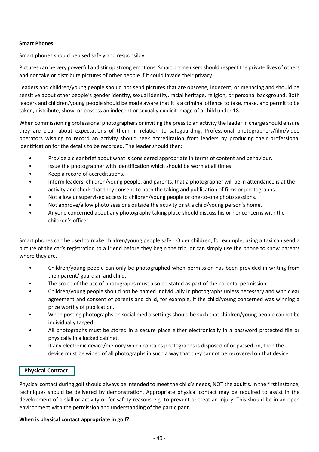#### **Smart Phones**

Smart phones should be used safely and responsibly.

Pictures can be very powerful and stir up strong emotions. Smart phone users should respect the private lives of others and not take or distribute pictures of other people if it could invade their privacy.

Leaders and children/young people should not send pictures that are obscene, indecent, or menacing and should be sensitive about other people's gender identity, sexual identity, racial heritage, religion, or personal background. Both leaders and children/young people should be made aware that it is a criminal offence to take, make, and permit to be taken, distribute, show, or possess an indecent or sexually explicit image of a child under 18.

When commissioning professional photographers or inviting the press to an activity the leader in charge should ensure they are clear about expectations of them in relation to safeguarding. Professional photographers/film/video operators wishing to record an activity should seek accreditation from leaders by producing their professional identification for the details to be recorded. The leader should then:

- Provide a clear brief about what is considered appropriate in terms of content and behaviour.
- Issue the photographer with identification which should be worn at all times.
- Keep a record of accreditations.
- Inform leaders, children/young people, and parents, that a photographer will be in attendance is at the activity and check that they consent to both the taking and publication of films or photographs.
- Not allow unsupervised access to children/young people or one-to-one photo sessions.
- Not approve/allow photo sessions outside the activity or at a child/young person's home.
- Anyone concerned about any photography taking place should discuss his or her concerns with the children's officer.

Smart phones can be used to make children/young people safer. Older children, for example, using a taxi can send a picture of the car's registration to a friend before they begin the trip, or can simply use the phone to show parents where they are.

- Children/young people can only be photographed when permission has been provided in writing from their parent/ guardian and child.
- The scope of the use of photographs must also be stated as part of the parental permission.
- Children/young people should not be named individually in photographs unless necessary and with clear agreement and consent of parents and child, for example, if the child/young concerned was winning a prize worthy of publication.
- When posting photographs on social media settings should be such that children/young people cannot be individually tagged.
- All photographs must be stored in a secure place either electronically in a password protected file or physically in a locked cabinet.
- If any electronic device/memory which contains photographs is disposed of or passed on, then the device must be wiped of all photographs in such a way that they cannot be recovered on that device.

### **Physical Contact**

Physical contact during golf should always be intended to meet the child's needs, NOT the adult's. In the first instance, techniques should be delivered by demonstration. Appropriate physical contact may be required to assist in the development of a skill or activity or for safety reasons e.g. to prevent or treat an injury. This should be in an open environment with the permission and understanding of the participant.

### **When is physical contact appropriate in golf?**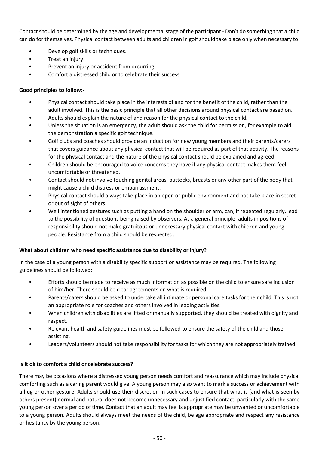Contact should be determined by the age and developmental stage of the participant - Don't do something that a child can do for themselves. Physical contact between adults and children in golf should take place only when necessary to:

- Develop golf skills or techniques.
- Treat an injury.
- Prevent an injury or accident from occurring.
- Comfort a distressed child or to celebrate their success.

## **Good principles to follow:-**

- Physical contact should take place in the interests of and for the benefit of the child, rather than the adult involved. This is the basic principle that all other decisions around physical contact are based on.
- Adults should explain the nature of and reason for the physical contact to the child.
- Unless the situation is an emergency, the adult should ask the child for permission, for example to aid the demonstration a specific golf technique.
- Golf clubs and coaches should provide an induction for new young members and their parents/carers that covers guidance about any physical contact that will be required as part of that activity. The reasons for the physical contact and the nature of the physical contact should be explained and agreed.
- Children should be encouraged to voice concerns they have if any physical contact makes them feel uncomfortable or threatened.
- Contact should not involve touching genital areas, buttocks, breasts or any other part of the body that might cause a child distress or embarrassment.
- Physical contact should always take place in an open or public environment and not take place in secret or out of sight of others.
- Well intentioned gestures such as putting a hand on the shoulder or arm, can, if repeated regularly, lead to the possibility of questions being raised by observers. As a general principle, adults in positions of responsibility should not make gratuitous or unnecessary physical contact with children and young people. Resistance from a child should be respected.

### **What about children who need specific assistance due to disability or injury?**

In the case of a young person with a disability specific support or assistance may be required. The following guidelines should be followed:

- Efforts should be made to receive as much information as possible on the child to ensure safe inclusion of him/her. There should be clear agreements on what is required.
- Parents/carers should be asked to undertake all intimate or personal care tasks for their child. This is not an appropriate role for coaches and others involved in leading activities.
- When children with disabilities are lifted or manually supported, they should be treated with dignity and respect.
- Relevant health and safety guidelines must be followed to ensure the safety of the child and those assisting.
- Leaders/volunteers should not take responsibility for tasks for which they are not appropriately trained.

### **Is it ok to comfort a child or celebrate success?**

There may be occasions where a distressed young person needs comfort and reassurance which may include physical comforting such as a caring parent would give. A young person may also want to mark a success or achievement with a hug or other gesture. Adults should use their discretion in such cases to ensure that what is (and what is seen by others present) normal and natural does not become unnecessary and unjustified contact, particularly with the same young person over a period of time. Contact that an adult may feel is appropriate may be unwanted or uncomfortable to a young person. Adults should always meet the needs of the child, be age appropriate and respect any resistance or hesitancy by the young person.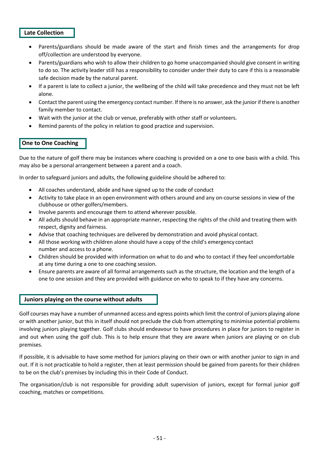### **Late Collection**

- Parents/guardians should be made aware of the start and finish times and the arrangements for drop off/collection are understood by everyone.
- Parents/guardians who wish to allow their children to go home unaccompanied should give consent in writing to do so. The activity leader still has a responsibility to consider under their duty to care if this is a reasonable safe decision made by the natural parent.
- If a parent is late to collect a junior, the wellbeing of the child will take precedence and they must not be left alone.
- Contact the parent using the emergency contact number. If there is no answer, ask the junior if there is another family member to contact.
- Wait with the junior at the club or venue, preferably with other staff or volunteers.
- Remind parents of the policy in relation to good practice and supervision.

## **One to One Coaching**

Due to the nature of golf there may be instances where coaching is provided on a one to one basis with a child. This may also be a personal arrangement between a parent and a coach.

In order to safeguard juniors and adults, the following guideline should be adhered to:

- All coaches understand, abide and have signed up to the code of conduct
- Activity to take place in an open environment with others around and any on-course sessions in view of the clubhouse or other golfers/members.
- Involve parents and encourage them to attend wherever possible.
- All adults should behave in an appropriate manner, respecting the rights of the child and treating them with respect, dignity and fairness.
- Advise that coaching techniques are delivered by demonstration and avoid physical contact.
- All those working with children alone should have a copy of the child's emergency contact number and access to a phone.
- Children should be provided with information on what to do and who to contact if they feel uncomfortable at any time during a one to one coaching session.
- Ensure parents are aware of all formal arrangements such as the structure, the location and the length of a one to one session and they are provided with guidance on who to speak to if they have any concerns.

### **Juniors playing on the course without adults**

Golf courses may have a number of unmanned access and egress points which limit the control of juniors playing alone or with another junior, but this in itself should not preclude the club from attempting to minimise potential problems involving juniors playing together. Golf clubs should endeavour to have procedures in place for juniors to register in and out when using the golf club. This is to help ensure that they are aware when juniors are playing or on club premises.

If possible, it is advisable to have some method for juniors playing on their own or with another junior to sign in and out. If it is not practicable to hold a register, then at least permission should be gained from parents for their children to be on the club's premises by including this in their Code of Conduct.

The organisation/club is not responsible for providing adult supervision of juniors, except for formal junior golf coaching, matches or competitions.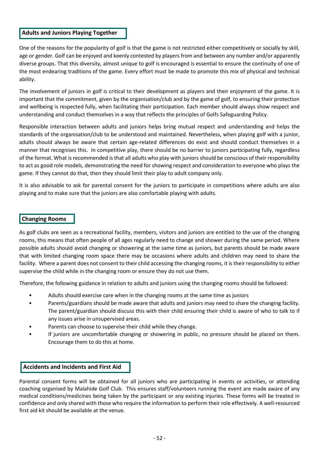#### **Adults and Juniors Playing Together**

One of the reasons for the popularity of golf is that the game is not restricted either competitively or socially by skill, age or gender. Golf can be enjoyed and keenly contested by players from and between any number and/or apparently diverse groups. That this diversity, almost unique to golf is encouraged is essential to ensure the continuity of one of the most endearing traditions of the game. Every effort must be made to promote this mix of physical and technical ability.

The involvement of juniors in golf is critical to their development as players and their enjoyment of the game. It is important that the commitment, given by the organisation/club and by the game of golf, to ensuring their protection and wellbeing is respected fully, when facilitating their participation. Each member should always show respect and understanding and conduct themselves in a way that reflects the principles of Golfs Safeguarding Policy.

Responsible interaction between adults and juniors helps bring mutual respect and understanding and helps the standards of the organisation/club to be understood and maintained. Nevertheless, when playing golf with a junior, adults should always be aware that certain age-related differences do exist and should conduct themselves in a manner that recognises this. In competitive play, there should be no barrier to juniors participating fully, regardless of the format. What is recommended is that all adults who play with juniors should be conscious of their responsibility to act as good role models, demonstrating the need for showing respect and consideration to everyone who plays the game. If they cannot do that, then they should limit their play to adult company only.

It is also advisable to ask for parental consent for the juniors to participate in competitions where adults are also playing and to make sure that the juniors are also comfortable playing with adults.

### **Changing Rooms**

As golf clubs are seen as a recreational facility, members, visitors and juniors are entitled to the use of the changing rooms, this means that often people of all ages regularly need to change and shower during the same period. Where possible adults should avoid changing or showering at the same time as juniors, but parents should be made aware that with limited changing room space there may be occasions where adults and children may need to share the facility. Where a parent does not consent to their child accessing the changing rooms, it is their responsibility to either supervise the child while in the changing room or ensure they do not use them.

Therefore, the following guidance in relation to adults and juniors using the changing rooms should be followed:

- Adults should exercise care when in the changing rooms at the same time as juniors
- Parents/guardians should be made aware that adults and juniors may need to share the changing facility. The parent/guardian should discuss this with their child ensuring their child is aware of who to talk to if any issues arise in unsupervised areas.
- Parents can choose to supervise their child while they change.
- If juniors are uncomfortable changing or showering in public, no pressure should be placed on them. Encourage them to do this at home.

### **Accidents and Incidents and First Aid**

Parental consent forms will be obtained for all juniors who are participating in events or activities, or attending coaching organised by Malahide Golf Club. This ensures staff/volunteers running the event are made aware of any medical conditions/medicines being taken by the participant or any existing injuries. These forms will be treated in confidence and only shared with those who require the information to perform their role effectively. A well-resourced first aid kit should be available at the venue.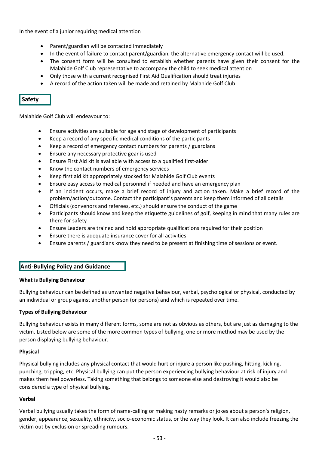In the event of a junior requiring medical attention

- Parent/guardian will be contacted immediately
- In the event of failure to contact parent/guardian, the alternative emergency contact will be used.
- The consent form will be consulted to establish whether parents have given their consent for the Malahide Golf Club representative to accompany the child to seek medical attention
- Only those with a current recognised First Aid Qualification should treat injuries
- A record of the action taken will be made and retained by Malahide Golf Club

## **Safety**

Malahide Golf Club will endeavour to:

- Ensure activities are suitable for age and stage of development of participants
- Keep a record of any specific medical conditions of the participants
- Keep a record of emergency contact numbers for parents / guardians
- Ensure any necessary protective gear is used
- Ensure First Aid kit is available with access to a qualified first-aider
- Know the contact numbers of emergency services
- Keep first aid kit appropriately stocked for Malahide Golf Club events
- Ensure easy access to medical personnel if needed and have an emergency plan
- If an incident occurs, make a brief record of injury and action taken. Make a brief record of the problem/action/outcome. Contact the participant's parents and keep them informed of all details
- Officials (convenors and referees, etc.) should ensure the conduct of the game
- Participants should know and keep the etiquette guidelines of golf, keeping in mind that many rules are there for safety
- Ensure Leaders are trained and hold appropriate qualifications required for their position
- Ensure there is adequate insurance cover for all activities
- Ensure parents / guardians know they need to be present at finishing time of sessions or event.

### **Anti-Bullying Policy and Guidance**

#### **What is Bullying Behaviour**

Bullying behaviour can be defined as unwanted negative behaviour, verbal, psychological or physical, conducted by an individual or group against another person (or persons) and which is repeated over time.

#### **Types of Bullying Behaviour**

Bullying behaviour exists in many different forms, some are not as obvious as others, but are just as damaging to the victim. Listed below are some of the more common types of bullying, one or more method may be used by the person displaying bullying behaviour.

#### **Physical**

Physical bullying includes any physical contact that would hurt or injure a person like pushing, hitting, kicking, punching, tripping, etc. Physical bullying can put the person experiencing bullying behaviour at risk of injury and makes them feel powerless. Taking something that belongs to someone else and destroying it would also be considered a type of physical bullying.

#### **Verbal**

Verbal bullying usually takes the form of name-calling or making nasty remarks or jokes about a person's religion, gender, appearance, sexuality, ethnicity, socio-economic status, or the way they look. It can also include freezing the victim out by exclusion or spreading rumours.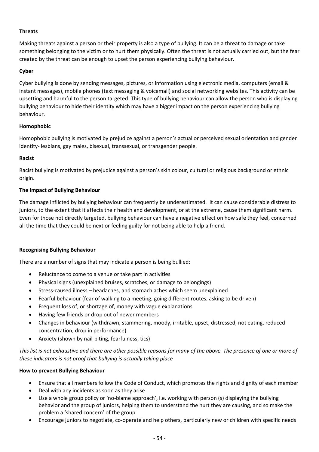### **Threats**

Making threats against a person or their property is also a type of bullying. It can be a threat to damage or take something belonging to the victim or to hurt them physically. Often the threat is not actually carried out, but the fear created by the threat can be enough to upset the person experiencing bullying behaviour.

### **Cyber**

Cyber bullying is done by sending messages, pictures, or information using electronic media, computers (email & instant messages), mobile phones (text messaging & voicemail) and social networking websites. This activity can be upsetting and harmful to the person targeted. This type of bullying behaviour can allow the person who is displaying bullying behaviour to hide their identity which may have a bigger impact on the person experiencing bullying behaviour.

## **Homophobic**

Homophobic bullying is motivated by prejudice against a person's actual or perceived sexual orientation and gender identity- lesbians, gay males, bisexual, transsexual, or transgender people.

### **Racist**

Racist bullying is motivated by prejudice against a person's skin colour, cultural or religious background or ethnic origin.

### **The Impact of Bullying Behaviour**

The damage inflicted by bullying behaviour can frequently be underestimated. It can cause considerable distress to juniors, to the extent that it affects their health and development, or at the extreme, cause them significant harm. Even for those not directly targeted, bullying behaviour can have a negative effect on how safe they feel, concerned all the time that they could be next or feeling guilty for not being able to help a friend.

### **Recognising Bullying Behaviour**

There are a number of signs that may indicate a person is being bullied:

- Reluctance to come to a venue or take part in activities
- Physical signs (unexplained bruises, scratches, or damage to belongings)
- Stress-caused illness headaches, and stomach aches which seem unexplained
- Fearful behaviour (fear of walking to a meeting, going different routes, asking to be driven)
- Frequent loss of, or shortage of, money with vague explanations
- Having few friends or drop out of newer members
- Changes in behaviour (withdrawn, stammering, moody, irritable, upset, distressed, not eating, reduced concentration, drop in performance)
- Anxiety (shown by nail-biting, fearfulness, tics)

*This list is not exhaustive and there are other possible reasons for many of the above. The presence of one or more of these indicators is not proof that bullying is actually taking place*

### **How to prevent Bullying Behaviour**

- Ensure that all members follow the Code of Conduct, which promotes the rights and dignity of each member
- Deal with any incidents as soon as they arise
- Use a whole group policy or 'no-blame approach', i.e. working with person (s) displaying the bullying behavior and the group of juniors, helping them to understand the hurt they are causing, and so make the problem a 'shared concern' of the group
- Encourage juniors to negotiate, co-operate and help others, particularly new or children with specific needs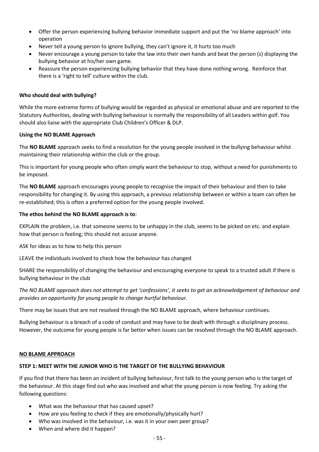- Offer the person experiencing bullying behavior immediate support and put the 'no blame approach' into operation
- Never tell a young person to ignore bullying, they can't ignore it, it hurts too much
- Never encourage a young person to take the law into their own hands and beat the person (s) displaying the bullying behavior at his/her own game.
- Reassure the person experiencing bullying behavior that they have done nothing wrong. Reinforce that there is a 'right to tell' culture within the club.

#### **Who should deal with bullying?**

While the more extreme forms of bullying would be regarded as physical or emotional abuse and are reported to the Statutory Authorities, dealing with bullying behaviour is normally the responsibility of all Leaders within golf. You should also liaise with the appropriate Club Children's Officer & DLP.

#### **Using the NO BLAME Approach**

The **NO BLAME** approach seeks to find a resolution for the young people involved in the bullying behaviour whilst maintaining their relationship within the club or the group.

This is important for young people who often simply want the behaviour to stop, without a need for punishments to be imposed.

The **NO BLAME** approach encourages young people to recognise the impact of their behaviour and then to take responsibility for changing it. By using this approach, a previous relationship between or within a team can often be re-established; this is often a preferred option for the young people involved.

#### **The ethos behind the NO BLAME approach is to**:

EXPLAIN the problem, i.e. that someone seems to be unhappy in the club, seems to be picked on etc. and explain how that person is feeling; this should not accuse anyone.

ASK for ideas as to how to help this person

LEAVE the individuals involved to check how the behaviour has changed

SHARE the responsibility of changing the behaviour and encouraging everyone to speak to a trusted adult if there is bullying behaviour in the club

The NO BLAME approach does not attempt to get 'confessions', it seeks to get an acknowledgement of behaviour and *provides an opportunity for young people to change hurtful behaviour.* 

There may be issues that are not resolved through the NO BLAME approach, where behaviour continues.

Bullying behaviour is a breach of a code of conduct and may have to be dealt with through a disciplinary process. However, the outcome for young people is far better when issues can be resolved through the NO BLAME approach.

#### **NO BLAME APPROACH**

#### **STEP 1: MEET WITH THE JUNIOR WHO IS THE TARGET OF THE BULLYING BEHAVIOUR**

If you find that there has been an incident of bullying behaviour, first talk to the young person who is the target of the behaviour. At this stage find out who was involved and what the young person is now feeling. Try asking the following questions:

- What was the behaviour that has caused upset?
- How are you feeling to check if they are emotionally/physically hurt?
- Who was involved in the behaviour, i.e. was it in your own peer group?
- When and where did it happen?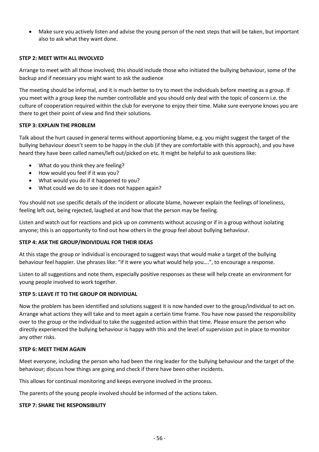• Make sure you actively listen and advise the young person of the next steps that will be taken, but important also to ask what they want done.

#### **STEP 2: MEET WITH ALL INVOLVED**

Arrange to meet with all those involved; this should include those who initiated the bullying behaviour, some of the backup and if necessary you might want to ask the audience

The meeting should be informal, and it is much better to try to meet the individuals before meeting as a group. If you meet with a group keep the number controllable and you should only deal with the topic of concern i.e. the culture of cooperation required within the club for everyone to enjoy their time. Make sure everyone knows you are there to get their point of view and find their solutions.

#### **STEP 3: EXPLAIN THE PROBLEM**

Talk about the hurt caused in general terms without apportioning blame, e.g. you might suggest the target of the bullying behaviour doesn't seem to be happy in the club (if they are comfortable with this approach), and you have heard they have been called names/left out/picked on etc. It might be helpful to ask questions like:

- What do you think they are feeling?
- How would you feel if it was you?
- What would you do if it happened to you?
- What could we do to see it does not happen again?

You should not use specific details of the incident or allocate blame, however explain the feelings of loneliness, feeling left out, being rejected, laughed at and how that the person may be feeling.

Listen and watch out for reactions and pick up on comments without accusing or if in a group without isolating anyone; this is an opportunity to find out how others in the group feel about bullying behaviour.

#### **STEP 4: ASK THE GROUP/INDIVIDUAL FOR THEIR IDEAS**

At this stage the group or individual is encouraged to suggest ways that would make a target of the bullying behaviour feel happier. Use phrases like: "if it were you what would help you….", to encourage a response.

Listen to all suggestions and note them, especially positive responses as these will help create an environment for young people involved to work together.

#### **STEP 5: LEAVE IT TO THE GROUP OR INDIVIDUAL**

Now the problem has been identified and solutions suggest it is now handed over to the group/individual to act on. Arrange what actions they will take and to meet again a certain time frame. You have now passed the responsibility over to the group or the individual to take the suggested action within that time. Please ensure the person who directly experienced the bullying behaviour is happy with this and the level of supervision put in place to monitor any other risks.

#### **STEP 6: MEET THEM AGAIN**

Meet everyone, including the person who had been the ring leader for the bullying behaviour and the target of the behaviour; discuss how things are going and check if there have been other incidents.

This allows for continual monitoring and keeps everyone involved in the process.

The parents of the young people involved should be informed of the actions taken.

#### **STEP 7: SHARE THE RESPONSIBILITY**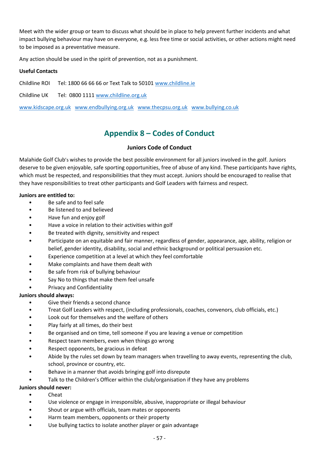Meet with the wider group or team to discuss what should be in place to help prevent further incidents and what impact bullying behaviour may have on everyone, e.g. less free time or social activities, or other actions might need to be imposed as a preventative measure.

Any action should be used in the spirit of prevention, not as a punishment.

#### **Useful Contacts**

Childline ROI Tel: 1800 66 66 66 or Text Talk to 50101 [www.childline.ie](http://www.childline.ie/)

Childline UK Tel: 0800 1111 [www.childline.org.uk](http://www.childline.org.uk/)

<span id="page-56-0"></span>[www.kidscape.org.uk](http://www.kidscape.org.uk/) [www.endbullying.org.uk](http://www.endbullying.org.uk/) [www.thecpsu.org.uk](http://www.thecpsu.org.uk/) [www.bullying.co.uk](http://www.bullying.co.uk/)

# **Appendix 8 – Codes of Conduct**

### **Juniors Code of Conduct**

Malahide Golf Club's wishes to provide the best possible environment for all juniors involved in the golf. Juniors deserve to be given enjoyable, safe sporting opportunities, free of abuse of any kind. These participants have rights, which must be respected, and responsibilities that they must accept. Juniors should be encouraged to realise that they have responsibilities to treat other participants and Golf Leaders with fairness and respect.

#### **Juniors are entitled to:**

- Be safe and to feel safe
- Be listened to and believed
- Have fun and enjoy golf
- Have a voice in relation to their activities within golf
- Be treated with dignity, sensitivity and respect
- Participate on an equitable and fair manner, regardless of gender, appearance, age, ability, religion or belief, gender identity, disability, social and ethnic background or political persuasion etc.
- Experience competition at a level at which they feel comfortable
- Make complaints and have them dealt with
- Be safe from risk of bullying behaviour
- Say No to things that make them feel unsafe
- Privacy and Confidentiality

### **Juniors should always:**

- Give their friends a second chance
- Treat Golf Leaders with respect, (including professionals, coaches, convenors, club officials, etc.)
- Look out for themselves and the welfare of others
- Play fairly at all times, do their best
- Be organised and on time, tell someone if you are leaving a venue or competition
- Respect team members, even when things go wrong
- Respect opponents, be gracious in defeat
- Abide by the rules set down by team managers when travelling to away events, representing the club, school, province or country, etc.
- Behave in a manner that avoids bringing golf into disrepute
- Talk to the Children's Officer within the club/organisation if they have any problems

#### **Juniors should never:**

- Cheat
- Use violence or engage in irresponsible, abusive, inappropriate or illegal behaviour
- Shout or argue with officials, team mates or opponents
- Harm team members, opponents or their property
- Use bullying tactics to isolate another player or gain advantage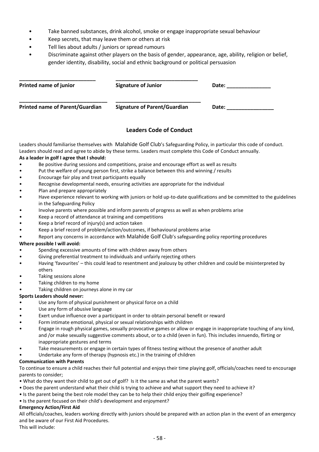- Take banned substances, drink alcohol, smoke or engage inappropriate sexual behaviour
- Keep secrets, that may leave them or others at risk
- Tell lies about adults / juniors or spread rumours
- Discriminate against other players on the basis of gender, appearance, age, ability, religion or belief, gender identity, disability, social and ethnic background or political persuasion

| Printed name of junior                 | <b>Signature of Junior</b>          | Date: |
|----------------------------------------|-------------------------------------|-------|
| <b>Printed name of Parent/Guardian</b> | <b>Signature of Parent/Guardian</b> | Date: |

## **Leaders Code of Conduct**

Leaders should familiarise themselves with Malahide Golf Club's Safeguarding Policy, in particular this code of conduct. Leaders should read and agree to abide by these terms. Leaders must complete this Code of Conduct annually. **As a leader in golf I agree that I should:**

- Be positive during sessions and competitions, praise and encourage effort as well as results
- Put the welfare of young person first, strike a balance between this and winning / results
- Encourage fair play and treat participants equally
- Recognise developmental needs, ensuring activities are appropriate for the individual
- Plan and prepare appropriately
- Have experience relevant to working with juniors or hold up-to-date qualifications and be committed to the guidelines in the Safeguarding Policy
- Involve parents where possible and inform parents of progress as well as when problems arise
- Keep a record of attendance at training and competitions
- Keep a brief record of injury(s) and action taken
- Keep a brief record of problem/action/outcomes, if behavioural problems arise
- Report any concerns in accordance with Malahide Golf Club's safeguarding policy reporting procedures

#### **Where possible I will avoid:**

- Spending excessive amounts of time with children away from others
- Giving preferential treatment to individuals and unfairly rejecting others
- Having 'favourites' this could lead to resentment and jealousy by other children and could be misinterpreted by others
- Taking sessions alone
- Taking children to my home
- Taking children on journeys alone in my car

#### **Sports Leaders should never:**

- Use any form of physical punishment or physical force on a child
- Use any form of abusive language
- Exert undue influence over a participant in order to obtain personal benefit or reward
- Form intimate emotional, physical or sexual relationships with children
- Engage in rough physical games, sexually provocative games or allow or engage in inappropriate touching of any kind, and /or make sexually suggestive comments about, or to a child (even in fun). This includes innuendo, flirting or inappropriate gestures and terms
- Take measurements or engage in certain types of fitness testing without the presence of another adult
- Undertake any form of therapy (hypnosis etc.) in the training of children

#### **Communication with Parents**

To continue to ensure a child reaches their full potential and enjoys their time playing golf, officials/coaches need to encourage parents to consider;

- What do they want their child to get out of golf? Is it the same as what the parent wants?
- Does the parent understand what their child is trying to achieve and what support they need to achieve it?
- Is the parent being the best role model they can be to help their child enjoy their golfing experience?
- Is the parent focused on their child's development and enjoyment?

#### **Emergency Action/First Aid**

All officials/coaches, leaders working directly with juniors should be prepared with an action plan in the event of an emergency and be aware of our First Aid Procedures.

This will include: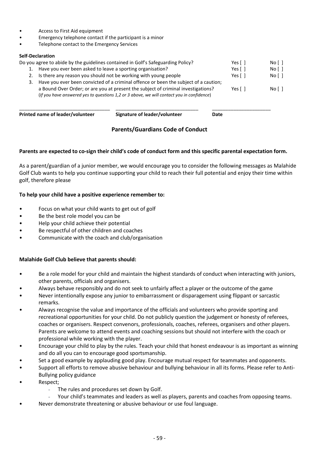- Access to First Aid equipment
- Emergency telephone contact if the participant is a minor
- Telephone contact to the Emergency Services

#### **Self-Declaration**

|    | Printed name of leader/volunteer                                                     | Signature of leader/volunteer                                                                                                                                                  | Date                   |                 |
|----|--------------------------------------------------------------------------------------|--------------------------------------------------------------------------------------------------------------------------------------------------------------------------------|------------------------|-----------------|
|    |                                                                                      | a Bound Over Order; or are you at present the subject of criminal investigations?<br>(If you have answered yes to questions 1,2 or 3 above, we will contact you in confidence) | Yes $\lceil \; \rceil$ | No <sub>1</sub> |
| 3. | Have you ever been convicted of a criminal offence or been the subject of a caution; |                                                                                                                                                                                |                        |                 |
| 2. | Is there any reason you should not be working with young people                      | Yes $\lceil \ \rceil$                                                                                                                                                          | No <sub>1</sub>        |                 |
|    | Have you ever been asked to leave a sporting organisation?                           |                                                                                                                                                                                | Yes $\lceil \; \rceil$ | No <sub>1</sub> |
|    |                                                                                      | Do you agree to abide by the guidelines contained in Golf's Safeguarding Policy?                                                                                               | Yes $\lceil \; \rceil$ | No <sub>1</sub> |

## **Parents/Guardians Code of Conduct**

#### **Parents are expected to co-sign their child's code of conduct form and this specific parental expectation form.**

As a parent/guardian of a junior member, we would encourage you to consider the following messages as Malahide Golf Club wants to help you continue supporting your child to reach their full potential and enjoy their time within golf, therefore please

### **To help your child have a positive experience remember to:**

- Focus on what your child wants to get out of golf
- Be the best role model you can be
- Help your child achieve their potential
- Be respectful of other children and coaches
- Communicate with the coach and club/organisation

### **Malahide Golf Club believe that parents should:**

- Be a role model for your child and maintain the highest standards of conduct when interacting with juniors, other parents, officials and organisers.
- Always behave responsibly and do not seek to unfairly affect a player or the outcome of the game
- Never intentionally expose any junior to embarrassment or disparagement using flippant or sarcastic remarks.
- Always recognise the value and importance of the officials and volunteers who provide sporting and recreational opportunities for your child. Do not publicly question the judgement or honesty of referees, coaches or organisers. Respect convenors, professionals, coaches, referees, organisers and other players. Parents are welcome to attend events and coaching sessions but should not interfere with the coach or professional while working with the player.
- Encourage your child to play by the rules. Teach your child that honest endeavour is as important as winning and do all you can to encourage good sportsmanship.
- Set a good example by applauding good play. Encourage mutual respect for teammates and opponents.
- Support all efforts to remove abusive behaviour and bullying behaviour in all its forms. Please refer to Anti-Bullying policy guidance
- Respect;
	- The rules and procedures set down by Golf.
	- Your child's teammates and leaders as well as players, parents and coaches from opposing teams.
- Never demonstrate threatening or abusive behaviour or use foul language.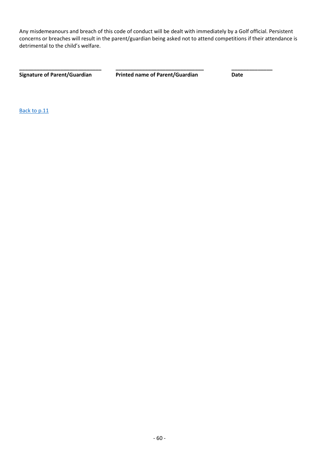Any misdemeanours and breach of this code of conduct will be dealt with immediately by a Golf official. Persistent concerns or breaches will result in the parent/guardian being asked not to attend competitions if their attendance is detrimental to the child's welfare.

**Signature of Parent/Guardian Printed name of Parent/Guardian Date**

**\_\_\_\_\_\_\_\_\_\_\_\_\_\_\_\_\_\_\_\_\_\_\_\_\_\_\_\_ \_\_\_\_\_\_\_\_\_\_\_\_\_\_\_\_\_\_\_\_\_\_\_\_\_\_\_\_\_\_ \_\_\_\_\_\_\_\_\_\_\_\_\_\_**

<span id="page-59-0"></span>[Back to p.11](#page-10-0)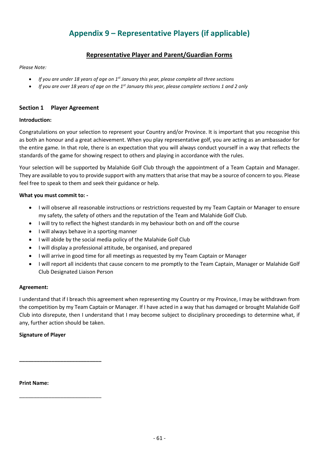# **Appendix 9 – Representative Players (if applicable)**

# **Representative Player and Parent/Guardian Forms**

#### *Please Note:*

- *If you are under 18 years of age on 1st January this year, please complete all three sections*
- *If you are over 18 years of age on the 1st January this year, please complete sections 1 and 2 only*

### **Section 1 Player Agreement**

#### **Introduction:**

Congratulations on your selection to represent your Country and/or Province. It is important that you recognise this as both an honour and a great achievement. When you play representative golf, you are acting as an ambassador for the entire game. In that role, there is an expectation that you will always conduct yourself in a way that reflects the standards of the game for showing respect to others and playing in accordance with the rules.

Your selection will be supported by Malahide Golf Club through the appointment of a Team Captain and Manager. They are available to you to provide support with any matters that arise that may be a source of concern to you. Please feel free to speak to them and seek their guidance or help.

#### **What you must commit to: -**

- I will observe all reasonable instructions or restrictions requested by my Team Captain or Manager to ensure my safety, the safety of others and the reputation of the Team and Malahide Golf Club.
- I will try to reflect the highest standards in my behaviour both on and off the course
- I will always behave in a sporting manner
- I will abide by the social media policy of the Malahide Golf Club
- I will display a professional attitude, be organised, and prepared
- I will arrive in good time for all meetings as requested by my Team Captain or Manager
- I will report all incidents that cause concern to me promptly to the Team Captain, Manager or Malahide Golf Club Designated Liaison Person

#### **Agreement:**

I understand that if I breach this agreement when representing my Country or my Province, I may be withdrawn from the competition by my Team Captain or Manager. If I have acted in a way that has damaged or brought Malahide Golf Club into disrepute, then I understand that I may become subject to disciplinary proceedings to determine what, if any, further action should be taken.

### **Signature of Player**

**\_\_\_\_\_\_\_\_\_\_\_\_\_\_\_\_\_\_\_\_\_\_\_\_\_\_\_\_**

\_\_\_\_\_\_\_\_\_\_\_\_\_\_\_\_\_\_\_\_\_\_\_\_\_\_\_\_

**Print Name:**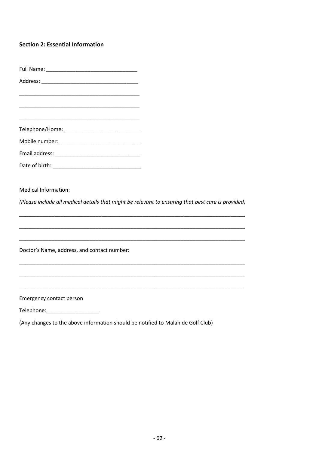## **Section 2: Essential Information**

| <b>Medical Information:</b>                 | (Please include all medical details that might be relevant to ensuring that best care is provided) |
|---------------------------------------------|----------------------------------------------------------------------------------------------------|
|                                             |                                                                                                    |
| Doctor's Name, address, and contact number: |                                                                                                    |
|                                             |                                                                                                    |
| Emergency contact person                    |                                                                                                    |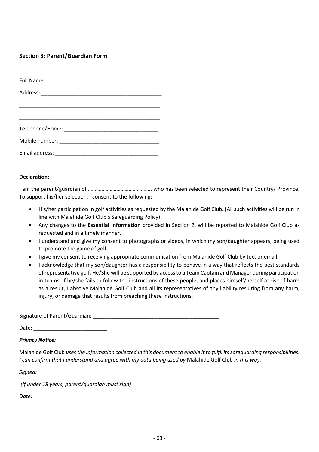## **Section 3: Parent/Guardian Form**

#### **Declaration:**

I am the parent/guardian of ………………………………………., who has been selected to represent their Country/ Province. To support his/her selection, I consent to the following:

- His/her participation in golf activities as requested by the Malahide Golf Club. (All such activities will be run in line with Malahide Golf Club's Safeguarding Policy)
- Any changes to the **Essential Information** provided in Section 2, will be reported to Malahide Golf Club as requested and in a timely manner.
- I understand and give my consent to photographs or videos, in which my son/daughter appears, being used to promote the game of golf.
- I give my consent to receiving appropriate communication from Malahide Golf Club by text or email.
- I acknowledge that my son/daughter has a responsibility to behave in a way that reflects the best standards of representative golf. He/She will be supported by access to a Team Captain and Manager during participation in teams. If he/she fails to follow the instructions of these people, and places himself/herself at risk of harm as a result, I absolve Malahide Golf Club and all its representatives of any liability resulting from any harm, injury, or damage that results from breaching these instructions.

Signature of Parent/Guardian: \_\_\_\_\_\_\_\_\_\_\_\_\_\_\_\_\_\_\_\_\_\_\_\_\_\_\_\_\_\_\_\_\_\_\_\_\_\_\_\_\_\_\_

Date: \_\_\_\_\_\_\_\_\_\_\_\_\_\_\_\_\_\_\_\_\_\_\_\_\_

#### *Privacy Notice:*

Malahide Golf Club *uses the information collected in this document to enable it to fulfil its safeguarding responsibilities. I can confirm that I understand and agree with my data being used by* Malahide Golf Club *in this way.* 

*Signed: \_\_\_\_\_\_\_\_\_\_\_\_\_\_\_\_\_\_\_\_\_\_\_\_\_\_\_\_\_\_\_\_\_\_\_\_\_\_* 

*(If under 18 years, parent/guardian must sign)*

*Date: \_\_\_\_\_\_\_\_\_\_\_\_\_\_\_\_\_\_\_\_\_\_\_\_\_\_\_\_\_\_*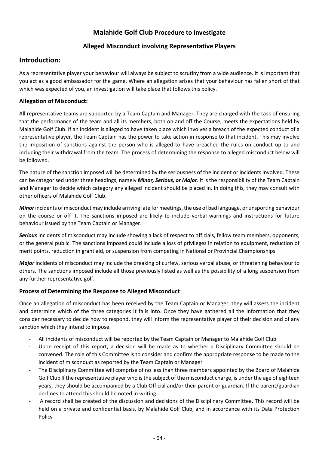# **Malahide Golf Club Procedure to Investigate**

## **Alleged Misconduct involving Representative Players**

# **Introduction:**

As a representative player your behaviour will always be subject to scrutiny from a wide audience. It is important that you act as a good ambassador for the game. Where an allegation arises that your behaviour has fallen short of that which was expected of you, an investigation will take place that follows this policy.

## **Allegation of Misconduct:**

All representative teams are supported by a Team Captain and Manager. They are charged with the task of ensuring that the performance of the team and all its members, both on and off the Course, meets the expectations held by Malahide Golf Club. If an incident is alleged to have taken place which involves a breach of the expected conduct of a representative player, the Team Captain has the power to take action in response to that incident. This may involve the imposition of sanctions against the person who is alleged to have breached the rules on conduct up to and including their withdrawal from the team. The process of determining the response to alleged misconduct below will be followed.

The nature of the sanction imposed will be determined by the seriousness of the incident or incidents involved. These can be categorised under three headings, namely *Minor, Serious, or Major*. It is the responsibility of the Team Captain and Manager to decide which category any alleged incident should be placed in. In doing this, they may consult with other officers of Malahide Golf Club.

*Minor*incidents of misconduct may include arriving late for meetings, the use of bad language, or unsporting behaviour on the course or off it. The sanctions imposed are likely to include verbal warnings and instructions for future behaviour issued by the Team Captain or Manager.

*Serious* incidents of misconduct may include showing a lack of respect to officials, fellow team members, opponents, or the general public. The sanctions imposed could include a loss of privileges in relation to equipment, reduction of merit points, reduction in grant aid, or suspension from competing in National or Provincial Championships.

*Major* incidents of misconduct may include the breaking of curfew, serious verbal abuse, or threatening behaviour to others. The sanctions imposed include all those previously listed as well as the possibility of a long suspension from any further representative golf.

### **Process of Determining the Response to Alleged Misconduct**:

Once an allegation of misconduct has been received by the Team Captain or Manager, they will assess the incident and determine which of the three categories it falls into. Once they have gathered all the information that they consider necessary to decide how to respond, they will inform the representative player of their decision and of any sanction which they intend to impose.

- All incidents of misconduct will be reported by the Team Captain or Manager to Malahide Golf Club
- Upon receipt of this report, a decision will be made as to whether a Disciplinary Committee should be convened. The role of this Committee is to consider and confirm the appropriate response to be made to the incident of misconduct as reported by the Team Captain or Manager
- The Disciplinary Committee will comprise of no less than three members appointed by the Board of Malahide Golf Club If the representative player who is the subject of the misconduct charge, is under the age of eighteen years, they should be accompanied by a Club Official and/or their parent or guardian. If the parent/guardian declines to attend this should be noted in writing.
- A record shall be created of the discussion and decisions of the Disciplinary Committee. This record will be held on a private and confidential basis, by Malahide Golf Club, and in accordance with its Data Protection Policy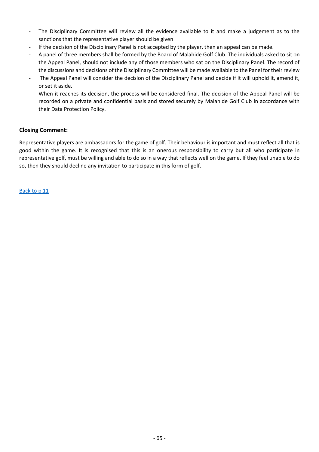- The Disciplinary Committee will review all the evidence available to it and make a judgement as to the sanctions that the representative player should be given
- If the decision of the Disciplinary Panel is not accepted by the player, then an appeal can be made.
- A panel of three members shall be formed by the Board of Malahide Golf Club. The individuals asked to sit on the Appeal Panel, should not include any of those members who sat on the Disciplinary Panel. The record of the discussions and decisions of the Disciplinary Committee will be made available to the Panel for their review
- The Appeal Panel will consider the decision of the Disciplinary Panel and decide if it will uphold it, amend it, or set it aside.
- When it reaches its decision, the process will be considered final. The decision of the Appeal Panel will be recorded on a private and confidential basis and stored securely by Malahide Golf Club in accordance with their Data Protection Policy.

### **Closing Comment:**

Representative players are ambassadors for the game of golf. Their behaviour is important and must reflect all that is good within the game. It is recognised that this is an onerous responsibility to carry but all who participate in representative golf, must be willing and able to do so in a way that reflects well on the game. If they feel unable to do so, then they should decline any invitation to participate in this form of golf.

[Back to p.11](#page-10-0)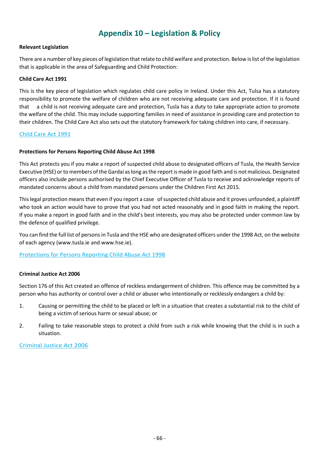# **Appendix 10 – Legislation & Policy**

#### <span id="page-65-0"></span>**Relevant Legislation**

There are a number of key pieces of legislation that relate to child welfare and protection. Below is list of the legislation that is applicable in the area of Safeguarding and Child Protection:

#### **Child Care Act 1991**

This is the key piece of legislation which regulates child care policy in Ireland. Under this Act, Tulsa has a statutory responsibility to promote the welfare of children who are not receiving adequate care and protection. If it is found that a child is not receiving adequate care and protection, Tusla has a duty to take appropriate action to promote the welfare of the child. This may include supporting families in need of assistance in providing care and protection to their children. The Child Care Act also sets out the statutory framework for taking children into care, if necessary.

#### [Child Care Act 1991](http://www.irishstatutebook.ie/eli/1991/act/17/enacted/en/html)

### **Protections for Persons Reporting Child Abuse Act 1998**

This Act protects you if you make a report of suspected child abuse to designated officers of Tusla, the Health Service Executive (HSE) or to members of the Gardaí as long as the report is made in good faith and is not malicious. Designated officers also include persons authorised by the Chief Executive Officer of Tusla to receive and acknowledge reports of mandated concerns about a child from mandated persons under the Children First Act 2015.

This legal protection means that even if you report a case of suspected child abuse and it proves unfounded, a plaintiff who took an action would have to prove that you had not acted reasonably and in good faith in making the report. If you make a report in good faith and in the child's best interests, you may also be protected under common law by the defence of qualified privilege.

You can find the full list of persons in Tusla and the HSE who are designated officers under the 1998 Act, on the website of each agency (www.tusla.ie and www.hse.ie).

### [Protections for Persons Reporting Child Abuse Act 1998](http://www.irishstatutebook.ie/eli/1998/act/49/enacted/en/html)

#### **Criminal Justice Act 2006**

Section 176 of this Act created an offence of reckless endangerment of children. This offence may be committed by a person who has authority or control over a child or abuser who intentionally or recklessly endangers a child by:

- 1. Causing or permitting the child to be placed or left in a situation that creates a substantial risk to the child of being a victim of serious harm or sexual abuse; or
- 2. Failing to take reasonable steps to protect a child from such a risk while knowing that the child is in such a situation.

#### [Criminal Justice Act 2006](http://www.irishstatutebook.ie/eli/2006/act/26/enacted/en/html)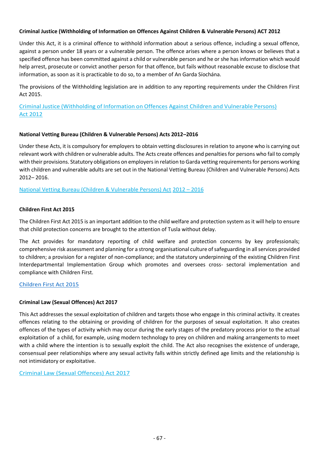### **Criminal Justice (Withholding of Information on Offences Against Children & Vulnerable Persons) ACT 2012**

Under this Act, it is a criminal offence to withhold information about a serious offence, including a sexual offence, against a person under 18 years or a vulnerable person. The offence arises where a person knows or believes that a specified offence has been committed against a child or vulnerable person and he or she has information which would help arrest, prosecute or convict another person for that offence, but fails without reasonable excuse to disclose that information, as soon as it is practicable to do so, to a member of An Garda Síochána.

The provisions of the Withholding legislation are in addition to any reporting requirements under the Children First Act 2015.

[Criminal Justice \(Withholding of Information on Offences](http://www.irishstatutebook.ie/eli/2012/act/24/enacted/en/html) [Against Children and Vulnerable Persons\)](http://www.irishstatutebook.ie/eli/2012/act/24/enacted/en/html)  [Act 2012](http://www.irishstatutebook.ie/eli/2012/act/24/enacted/en/html)

#### **National Vetting Bureau (Children & Vulnerable Persons) Acts 2012–2016**

Under these Acts, it is compulsory for employers to obtain vetting disclosures in relation to anyone who is carrying out relevant work with children or vulnerable adults. The Acts create offences and penalties for persons who fail to comply with their provisions. Statutory obligations on employers in relation to Garda vetting requirements for persons working with children and vulnerable adults are set out in the National Vetting Bureau (Children and Vulnerable Persons) Acts 2012– 2016.

[National Vetting Bureau \(Children & Vulnerable Persons\) Act](http://www.irishstatutebook.ie/eli/2012/act/47/enacted/en/html) [2012](http://www.irishstatutebook.ie/eli/2012/act/47/enacted/en/html) – 2016

#### **Children First Act 2015**

The Children First Act 2015 is an important addition to the child welfare and protection system as it will help to ensure that child protection concerns are brought to the attention of Tusla without delay.

The Act provides for mandatory reporting of child welfare and protection concerns by key professionals; comprehensive risk assessment and planning for a strong organisational culture of safeguarding in all services provided to children; a provision for a register of non-compliance; and the statutory underpinning of the existing Children First Interdepartmental Implementation Group which promotes and oversees cross- sectoral implementation and compliance with Children First.

#### [Children First Act 2015](http://www.irishstatutebook.ie/eli/2015/act/36/enacted/en/pdf)

### **Criminal Law (Sexual Offences) Act 2017**

This Act addresses the sexual exploitation of children and targets those who engage in this criminal activity. It creates offences relating to the obtaining or providing of children for the purposes of sexual exploitation. It also creates offences of the types of activity which may occur during the early stages of the predatory process prior to the actual exploitation of a child, for example, using modern technology to prey on children and making arrangements to meet with a child where the intention is to sexually exploit the child. The Act also recognises the existence of underage, consensual peer relationships where any sexual activity falls within strictly defined age limits and the relationship is not intimidatory or exploitative.

[Criminal Law \(Sexual Offences\) Act 2017](http://www.irishstatutebook.ie/eli/2017/act/2/enacted/en/html)